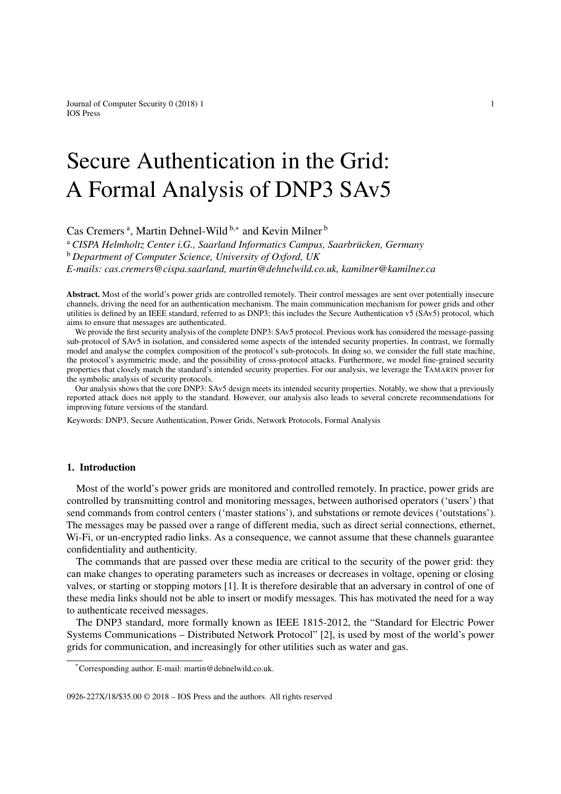# Secure Authentication in the Grid: A Formal Analysis of DNP3 SAv5

<span id="page-0-0"></span>C[a](#page-0-0)s Cremers<sup>a</sup>, Martin Dehnel-Wild<sup>[b](#page-0-1),[∗](#page-0-2)</sup> and Kevin Milner<sup>b</sup>

<span id="page-0-1"></span><sup>a</sup> *CISPA Helmholtz Center i.G., Saarland Informatics Campus, Saarbrücken, Germany* <sup>b</sup> *Department of Computer Science, University of Oxford, UK E-mails: [cas.cremers@cispa.saarland,](mailto:cas.cremers@cispa.saarland) [martin@dehnelwild.co.uk,](mailto:martin@dehnelwild.co.uk) [kamilner@kamilner.ca](mailto:kamilner@kamilner.ca)*

Abstract. Most of the world's power grids are controlled remotely. Their control messages are sent over potentially insecure channels, driving the need for an authentication mechanism. The main communication mechanism for power grids and other utilities is defined by an IEEE standard, referred to as DNP3; this includes the Secure Authentication v5 (SAv5) protocol, which aims to ensure that messages are authenticated.

We provide the first security analysis of the complete DNP3: SAv5 protocol. Previous work has considered the message-passing sub-protocol of SAv5 in isolation, and considered some aspects of the intended security properties. In contrast, we formally model and analyse the complex composition of the protocol's sub-protocols. In doing so, we consider the full state machine, the protocol's asymmetric mode, and the possibility of cross-protocol attacks. Furthermore, we model fine-grained security properties that closely match the standard's intended security properties. For our analysis, we leverage the TAMARIN prover for the symbolic analysis of security protocols.

Our analysis shows that the core DNP3: SAv5 design meets its intended security properties. Notably, we show that a previously reported attack does not apply to the standard. However, our analysis also leads to several concrete recommendations for improving future versions of the standard.

Keywords: DNP3, Secure Authentication, Power Grids, Network Protocols, Formal Analysis

### 1. Introduction

Most of the world's power grids are monitored and controlled remotely. In practice, power grids are controlled by transmitting control and monitoring messages, between authorised operators ('users') that send commands from control centers ('master stations'), and substations or remote devices ('outstations'). The messages may be passed over a range of different media, such as direct serial connections, ethernet, Wi-Fi, or un-encrypted radio links. As a consequence, we cannot assume that these channels guarantee confidentiality and authenticity.

The commands that are passed over these media are critical to the security of the power grid: they can make changes to operating parameters such as increases or decreases in voltage, opening or closing valves, or starting or stopping motors [\[1\]](#page-27-0). It is therefore desirable that an adversary in control of one of these media links should not be able to insert or modify messages. This has motivated the need for a way to authenticate received messages.

The DNP3 standard, more formally known as IEEE 1815-2012, the "Standard for Electric Power Systems Communications – Distributed Network Protocol" [\[2\]](#page-27-1), is used by most of the world's power grids for communication, and increasingly for other utilities such as water and gas.

0926-227X/18/\$35.00 © 2018 – IOS Press and the authors. All rights reserved

<span id="page-0-2"></span><sup>\*</sup>Corresponding author. E-mail: [martin@dehnelwild.co.uk.](mailto:martin@dehnelwild.co.uk)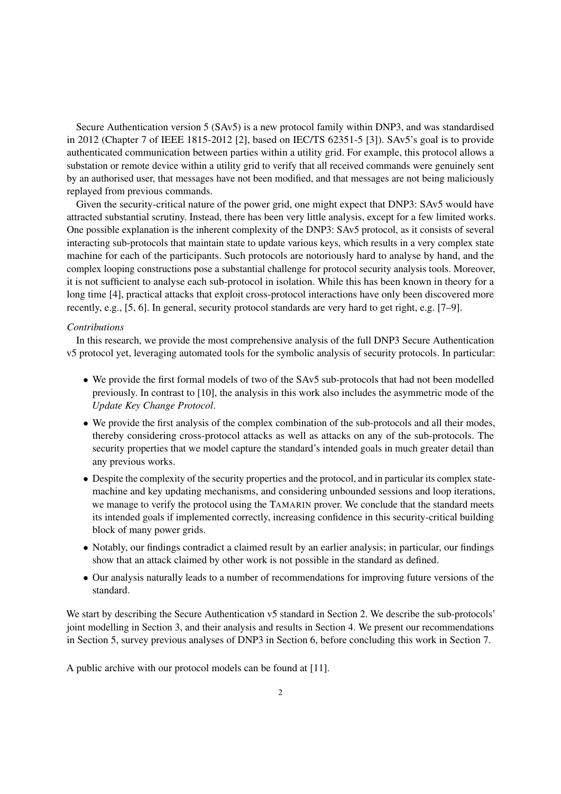Secure Authentication version 5 (SAv5) is a new protocol family within DNP3, and was standardised in 2012 (Chapter 7 of IEEE 1815-2012 [\[2\]](#page-27-1), based on IEC/TS 62351-5 [\[3\]](#page-27-2)). SAv5's goal is to provide authenticated communication between parties within a utility grid. For example, this protocol allows a substation or remote device within a utility grid to verify that all received commands were genuinely sent by an authorised user, that messages have not been modified, and that messages are not being maliciously replayed from previous commands.

Given the security-critical nature of the power grid, one might expect that DNP3: SAv5 would have attracted substantial scrutiny. Instead, there has been very little analysis, except for a few limited works. One possible explanation is the inherent complexity of the DNP3: SAv5 protocol, as it consists of several interacting sub-protocols that maintain state to update various keys, which results in a very complex state machine for each of the participants. Such protocols are notoriously hard to analyse by hand, and the complex looping constructions pose a substantial challenge for protocol security analysis tools. Moreover, it is not sufficient to analyse each sub-protocol in isolation. While this has been known in theory for a long time [\[4\]](#page-27-3), practical attacks that exploit cross-protocol interactions have only been discovered more recently, e.g., [\[5,](#page-28-0) [6\]](#page-28-1). In general, security protocol standards are very hard to get right, e.g. [\[7–](#page-28-2)[9\]](#page-28-3).

# *Contributions*

In this research, we provide the most comprehensive analysis of the full DNP3 Secure Authentication v5 protocol yet, leveraging automated tools for the symbolic analysis of security protocols. In particular:

- We provide the first formal models of two of the SAv5 sub-protocols that had not been modelled previously. In contrast to [\[10\]](#page-28-4), the analysis in this work also includes the asymmetric mode of the *Update Key Change Protocol*.
- We provide the first analysis of the complex combination of the sub-protocols and all their modes, thereby considering cross-protocol attacks as well as attacks on any of the sub-protocols. The security properties that we model capture the standard's intended goals in much greater detail than any previous works.
- Despite the complexity of the security properties and the protocol, and in particular its complex statemachine and key updating mechanisms, and considering unbounded sessions and loop iterations, we manage to verify the protocol using the TAMARIN prover. We conclude that the standard meets its intended goals if implemented correctly, increasing confidence in this security-critical building block of many power grids.
- Notably, our findings contradict a claimed result by an earlier analysis; in particular, our findings show that an attack claimed by other work is not possible in the standard as defined.
- Our analysis naturally leads to a number of recommendations for improving future versions of the standard.

We start by describing the Secure Authentication v5 standard in Section [2.](#page-2-0) We describe the sub-protocols' joint modelling in Section [3,](#page-11-0) and their analysis and results in Section [4.](#page-15-0) We present our recommendations in Section [5,](#page-25-0) survey previous analyses of DNP3 in Section [6,](#page-26-0) before concluding this work in Section [7.](#page-27-4)

A public archive with our protocol models can be found at [\[11\]](#page-28-5).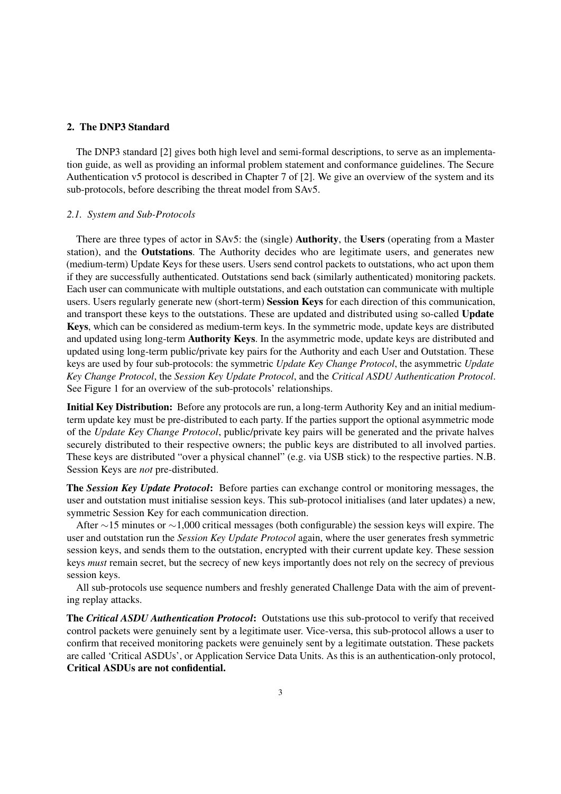#### <span id="page-2-0"></span>2. The DNP3 Standard

The DNP3 standard [\[2\]](#page-27-1) gives both high level and semi-formal descriptions, to serve as an implementation guide, as well as providing an informal problem statement and conformance guidelines. The Secure Authentication v5 protocol is described in Chapter 7 of [\[2\]](#page-27-1). We give an overview of the system and its sub-protocols, before describing the threat model from SAv5.

#### *2.1. System and Sub-Protocols*

There are three types of actor in SAv5: the (single) Authority, the Users (operating from a Master station), and the Outstations. The Authority decides who are legitimate users, and generates new (medium-term) Update Keys for these users. Users send control packets to outstations, who act upon them if they are successfully authenticated. Outstations send back (similarly authenticated) monitoring packets. Each user can communicate with multiple outstations, and each outstation can communicate with multiple users. Users regularly generate new (short-term) Session Keys for each direction of this communication, and transport these keys to the outstations. These are updated and distributed using so-called Update Keys, which can be considered as medium-term keys. In the symmetric mode, update keys are distributed and updated using long-term Authority Keys. In the asymmetric mode, update keys are distributed and updated using long-term public/private key pairs for the Authority and each User and Outstation. These keys are used by four sub-protocols: the symmetric *Update Key Change Protocol*, the asymmetric *Update Key Change Protocol*, the *Session Key Update Protocol*, and the *Critical ASDU Authentication Protocol*. See Figure [1](#page-3-0) for an overview of the sub-protocols' relationships.

Initial Key Distribution: Before any protocols are run, a long-term Authority Key and an initial mediumterm update key must be pre-distributed to each party. If the parties support the optional asymmetric mode of the *Update Key Change Protocol*, public/private key pairs will be generated and the private halves securely distributed to their respective owners; the public keys are distributed to all involved parties. These keys are distributed "over a physical channel" (e.g. via USB stick) to the respective parties. N.B. Session Keys are *not* pre-distributed.

The *Session Key Update Protocol*: Before parties can exchange control or monitoring messages, the user and outstation must initialise session keys. This sub-protocol initialises (and later updates) a new, symmetric Session Key for each communication direction.

After ∼15 minutes or ∼1,000 critical messages (both configurable) the session keys will expire. The user and outstation run the *Session Key Update Protocol* again, where the user generates fresh symmetric session keys, and sends them to the outstation, encrypted with their current update key. These session keys *must* remain secret, but the secrecy of new keys importantly does not rely on the secrecy of previous session keys.

All sub-protocols use sequence numbers and freshly generated Challenge Data with the aim of preventing replay attacks.

The *Critical ASDU Authentication Protocol*: Outstations use this sub-protocol to verify that received control packets were genuinely sent by a legitimate user. Vice-versa, this sub-protocol allows a user to confirm that received monitoring packets were genuinely sent by a legitimate outstation. These packets are called 'Critical ASDUs', or Application Service Data Units. As this is an authentication-only protocol, Critical ASDUs are not confidential.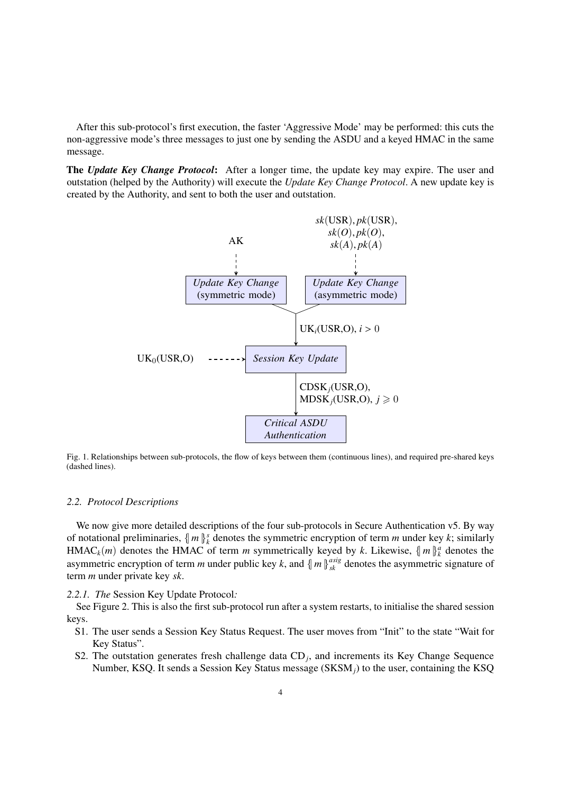After this sub-protocol's first execution, the faster 'Aggressive Mode' may be performed: this cuts the non-aggressive mode's three messages to just one by sending the ASDU and a keyed HMAC in the same message.

The *Update Key Change Protocol*: After a longer time, the update key may expire. The user and outstation (helped by the Authority) will execute the *Update Key Change Protocol*. A new update key is created by the Authority, and sent to both the user and outstation.



<span id="page-3-0"></span>Fig. 1. Relationships between sub-protocols, the flow of keys between them (continuous lines), and required pre-shared keys (dashed lines).

#### <span id="page-3-2"></span>*2.2. Protocol Descriptions*

We now give more detailed descriptions of the four sub-protocols in Secure Authentication v5. By way of notational preliminaries,  $\{m\}_{k}^{s}$  denotes the symmetric encryption of term *m* under key *k*; similarly HMAC<sub>k</sub>(*m*) denotes the HMAC of term *m* symmetrically keyed by *k*. Likewise,  $\{m\}_{k}^{a}$  denotes the asymmetric encryption of term *m* under public key *k*, and  $\{m\}_{sk}^{asig}$  denotes the asymmetric signature of term *m* under private key *sk*.

<span id="page-3-1"></span>*2.2.1. The* Session Key Update Protocol*:*

See Figure [2.](#page-4-0) This is also the first sub-protocol run after a system restarts, to initialise the shared session keys.

- S1. The user sends a Session Key Status Request. The user moves from "Init" to the state "Wait for Key Status".
- S2. The outstation generates fresh challenge data  $CD_j$ , and increments its Key Change Sequence Number, KSQ. It sends a Session Key Status message (SKSM*j*) to the user, containing the KSQ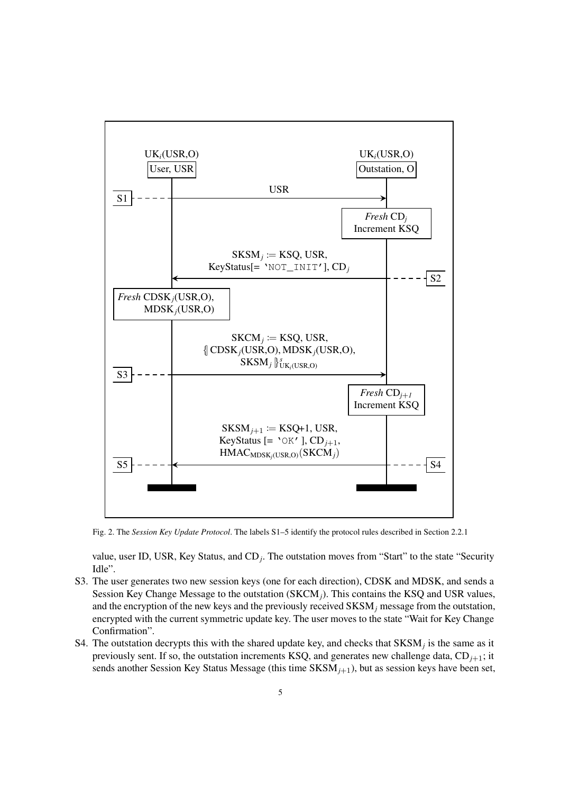

<span id="page-4-0"></span>Fig. 2. The *Session Key Update Protocol*. The labels S1–5 identify the protocol rules described in Section [2.2.1](#page-3-1)

value, user ID, USR, Key Status, and CD*<sup>j</sup>* . The outstation moves from "Start" to the state "Security Idle".

- S3. The user generates two new session keys (one for each direction), CDSK and MDSK, and sends a Session Key Change Message to the outstation (SKCM*j*). This contains the KSQ and USR values, and the encryption of the new keys and the previously received SKSM*<sup>j</sup>* message from the outstation, encrypted with the current symmetric update key. The user moves to the state "Wait for Key Change Confirmation".
- S4. The outstation decrypts this with the shared update key, and checks that  $SKSM<sub>j</sub>$  is the same as it previously sent. If so, the outstation increments KSQ, and generates new challenge data,  $CD_{j+1}$ ; it sends another Session Key Status Message (this time SKSM*j*+1), but as session keys have been set,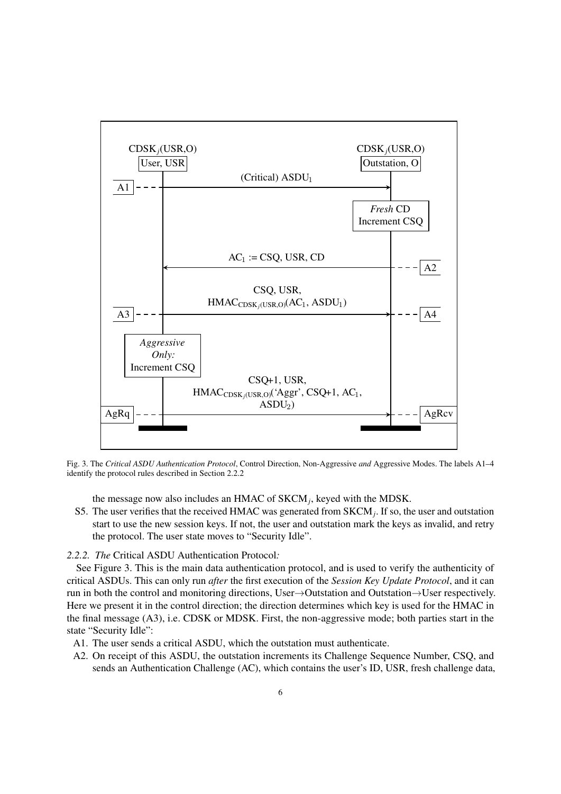

<span id="page-5-1"></span>Fig. 3. The *Critical ASDU Authentication Protocol*, Control Direction, Non-Aggressive *and* Aggressive Modes. The labels A1–4 identify the protocol rules described in Section [2.2.2](#page-5-0)

the message now also includes an HMAC of SKCM*<sup>j</sup>* , keyed with the MDSK.

S5. The user verifies that the received HMAC was generated from SKCM*<sup>j</sup>* . If so, the user and outstation start to use the new session keys. If not, the user and outstation mark the keys as invalid, and retry the protocol. The user state moves to "Security Idle".

<span id="page-5-0"></span>*2.2.2. The* Critical ASDU Authentication Protocol*:*

See Figure [3.](#page-5-1) This is the main data authentication protocol, and is used to verify the authenticity of critical ASDUs. This can only run *after* the first execution of the *Session Key Update Protocol*, and it can run in both the control and monitoring directions, User→Outstation and Outstation→User respectively. Here we present it in the control direction; the direction determines which key is used for the HMAC in the final message (A3), i.e. CDSK or MDSK. First, the non-aggressive mode; both parties start in the state "Security Idle":

- A1. The user sends a critical ASDU, which the outstation must authenticate.
- A2. On receipt of this ASDU, the outstation increments its Challenge Sequence Number, CSQ, and sends an Authentication Challenge (AC), which contains the user's ID, USR, fresh challenge data,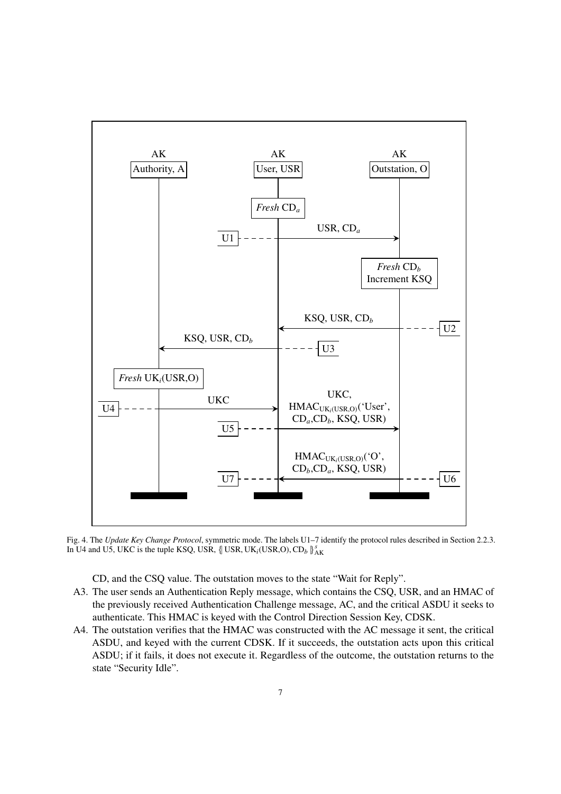

<span id="page-6-0"></span>Fig. 4. The *Update Key Change Protocol*, symmetric mode. The labels U1–7 identify the protocol rules described in Section [2.2.3.](#page-7-0) In U4 and U5, UKC is the tuple KSQ, USR,  $\{\parallel$  USR, UK<sub>*i*</sub>(USR, O), CD<sub>b</sub>  $\}^s$ <sub>AK</sub>

CD, and the CSQ value. The outstation moves to the state "Wait for Reply".

- A3. The user sends an Authentication Reply message, which contains the CSQ, USR, and an HMAC of the previously received Authentication Challenge message, AC, and the critical ASDU it seeks to authenticate. This HMAC is keyed with the Control Direction Session Key, CDSK.
- A4. The outstation verifies that the HMAC was constructed with the AC message it sent, the critical ASDU, and keyed with the current CDSK. If it succeeds, the outstation acts upon this critical ASDU; if it fails, it does not execute it. Regardless of the outcome, the outstation returns to the state "Security Idle".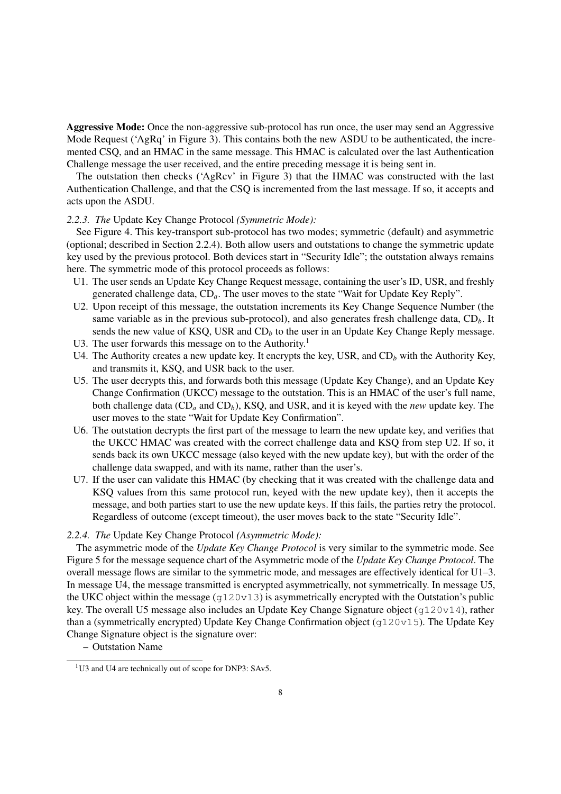Aggressive Mode: Once the non-aggressive sub-protocol has run once, the user may send an Aggressive Mode Request ('AgRq' in Figure [3\)](#page-5-1). This contains both the new ASDU to be authenticated, the incremented CSQ, and an HMAC in the same message. This HMAC is calculated over the last Authentication Challenge message the user received, and the entire preceding message it is being sent in.

The outstation then checks ('AgRcv' in Figure [3\)](#page-5-1) that the HMAC was constructed with the last Authentication Challenge, and that the CSQ is incremented from the last message. If so, it accepts and acts upon the ASDU.

#### <span id="page-7-0"></span>*2.2.3. The* Update Key Change Protocol *(Symmetric Mode):*

See Figure [4.](#page-6-0) This key-transport sub-protocol has two modes; symmetric (default) and asymmetric (optional; described in Section [2.2.4\)](#page-7-1). Both allow users and outstations to change the symmetric update key used by the previous protocol. Both devices start in "Security Idle"; the outstation always remains here. The symmetric mode of this protocol proceeds as follows:

- U1. The user sends an Update Key Change Request message, containing the user's ID, USR, and freshly generated challenge data, CD*a*. The user moves to the state "Wait for Update Key Reply".
- U2. Upon receipt of this message, the outstation increments its Key Change Sequence Number (the same variable as in the previous sub-protocol), and also generates fresh challenge data, CD*b*. It sends the new value of KSQ, USR and  $CD_b$  to the user in an Update Key Change Reply message.
- U3. The user forwards this message on to the Authority.<sup>[1](#page-7-2)</sup>
- U4. The Authority creates a new update key. It encrypts the key, USR, and  $CD<sub>b</sub>$  with the Authority Key, and transmits it, KSQ, and USR back to the user.
- U5. The user decrypts this, and forwards both this message (Update Key Change), and an Update Key Change Confirmation (UKCC) message to the outstation. This is an HMAC of the user's full name, both challenge data (CD*<sup>a</sup>* and CD*b*), KSQ, and USR, and it is keyed with the *new* update key. The user moves to the state "Wait for Update Key Confirmation".
- U6. The outstation decrypts the first part of the message to learn the new update key, and verifies that the UKCC HMAC was created with the correct challenge data and KSQ from step U2. If so, it sends back its own UKCC message (also keyed with the new update key), but with the order of the challenge data swapped, and with its name, rather than the user's.
- U7. If the user can validate this HMAC (by checking that it was created with the challenge data and KSQ values from this same protocol run, keyed with the new update key), then it accepts the message, and both parties start to use the new update keys. If this fails, the parties retry the protocol. Regardless of outcome (except timeout), the user moves back to the state "Security Idle".

#### <span id="page-7-1"></span>*2.2.4. The* Update Key Change Protocol *(Asymmetric Mode):*

The asymmetric mode of the *Update Key Change Protocol* is very similar to the symmetric mode. See Figure [5](#page-9-0) for the message sequence chart of the Asymmetric mode of the *Update Key Change Protocol*. The overall message flows are similar to the symmetric mode, and messages are effectively identical for U1–3. In message U4, the message transmitted is encrypted asymmetrically, not symmetrically. In message U5, the UKC object within the message  $(q120v13)$  is asymmetrically encrypted with the Outstation's public key. The overall U5 message also includes an Update Key Change Signature object (g120v14), rather than a (symmetrically encrypted) Update Key Change Confirmation object (g120v15). The Update Key Change Signature object is the signature over:

– Outstation Name

<span id="page-7-2"></span><sup>&</sup>lt;sup>1</sup>U3 and U4 are technically out of scope for DNP3: SAv5.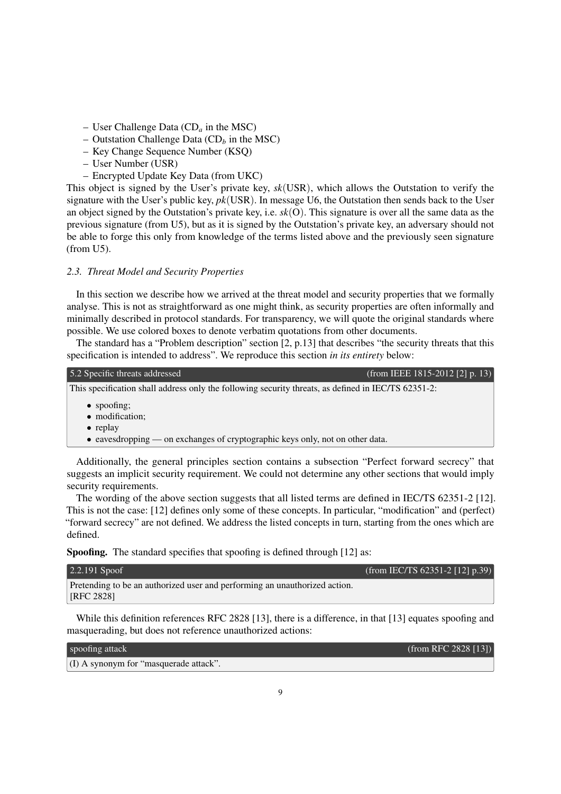- User Challenge Data (CD*<sup>a</sup>* in the MSC)
- $-$  Outstation Challenge Data (CD<sub>b</sub> in the MSC)
- Key Change Sequence Number (KSQ)
- User Number (USR)
- Encrypted Update Key Data (from UKC)

This object is signed by the User's private key, *sk*(USR), which allows the Outstation to verify the signature with the User's public key, *pk*(USR). In message U6, the Outstation then sends back to the User an object signed by the Outstation's private key, i.e. *sk*(O). This signature is over all the same data as the previous signature (from U5), but as it is signed by the Outstation's private key, an adversary should not be able to forge this only from knowledge of the terms listed above and the previously seen signature (from U5).

## <span id="page-8-0"></span>*2.3. Threat Model and Security Properties*

In this section we describe how we arrived at the threat model and security properties that we formally analyse. This is not as straightforward as one might think, as security properties are often informally and minimally described in protocol standards. For transparency, we will quote the original standards where possible. We use colored boxes to denote verbatim quotations from other documents.

The standard has a "Problem description" section [\[2,](#page-27-1) p.13] that describes "the security threats that this specification is intended to address". We reproduce this section *in its entirety* below:

5.2 Specific threats addressed (from IEEE 1815-2012 [\[2\]](#page-27-1) p. 13) This specification shall address only the following security threats, as defined in IEC/TS 62351-2: • spoofing; • modification: • replay • eavesdropping — on exchanges of cryptographic keys only, not on other data.

Additionally, the general principles section contains a subsection "Perfect forward secrecy" that suggests an implicit security requirement. We could not determine any other sections that would imply security requirements.

The wording of the above section suggests that all listed terms are defined in IEC/TS 62351-2 [\[12\]](#page-28-6). This is not the case: [\[12\]](#page-28-6) defines only some of these concepts. In particular, "modification" and (perfect) "forward secrecy" are not defined. We address the listed concepts in turn, starting from the ones which are defined.

Spoofing. The standard specifies that spoofing is defined through [\[12\]](#page-28-6) as:

| $2.2.191$ Spoof                                                            | (from IEC/TS 62351-2 [12] $p.39$ ) |
|----------------------------------------------------------------------------|------------------------------------|
| Pretending to be an authorized user and performing an unauthorized action. |                                    |
| $\vert$ [RFC 2828]                                                         |                                    |

While this definition references RFC 2828 [\[13\]](#page-28-7), there is a difference, in that [13] equates spoofing and masquerading, but does not reference unauthorized actions:

| spoofing attack                          | (from RFC 2828 $[13]$ ) |
|------------------------------------------|-------------------------|
| $(1)$ A synonym for "masquerade attack". |                         |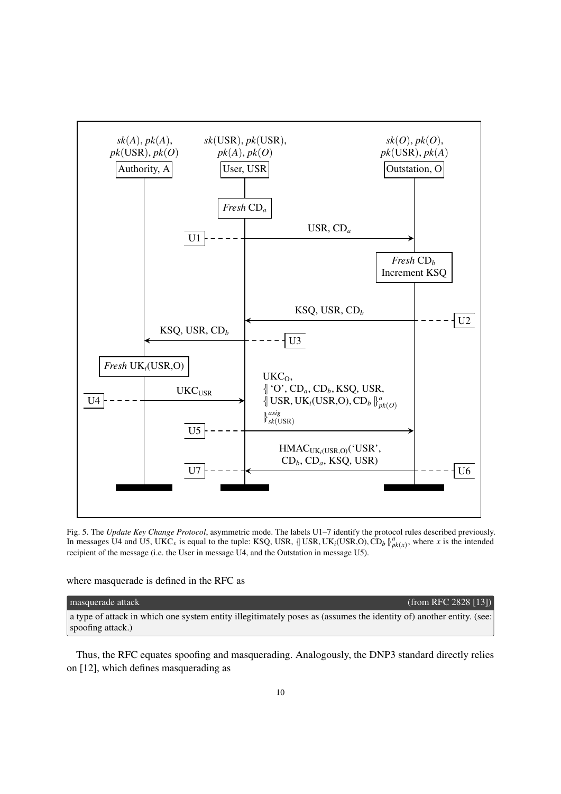

<span id="page-9-0"></span>Fig. 5. The *Update Key Change Protocol*, asymmetric mode. The labels U1–7 identify the protocol rules described previously. In messages U4 and U5, UKC<sub>*x*</sub> is equal to the tuple: KSQ, USR, {| USR, UK<sub>*i*</sub>(USR,O)</sub>, CD<sub>*b*</sub>  $\int_{pk}^{a}(x)$ , where *x* is the intended recipient of the message (i.e. the Ilear in message IIA, and the Outstation in mess recipient of the message (i.e. the User in message U4, and the Outstation in message U5).

where masquerade is defined in the RFC as

masquerade attack (from RFC 2828 [\[13\]](#page-28-7)) a type of attack in which one system entity illegitimately poses as (assumes the identity of) another entity. (see: spoofing attack.)

Thus, the RFC equates spoofing and masquerading. Analogously, the DNP3 standard directly relies on [\[12\]](#page-28-6), which defines masquerading as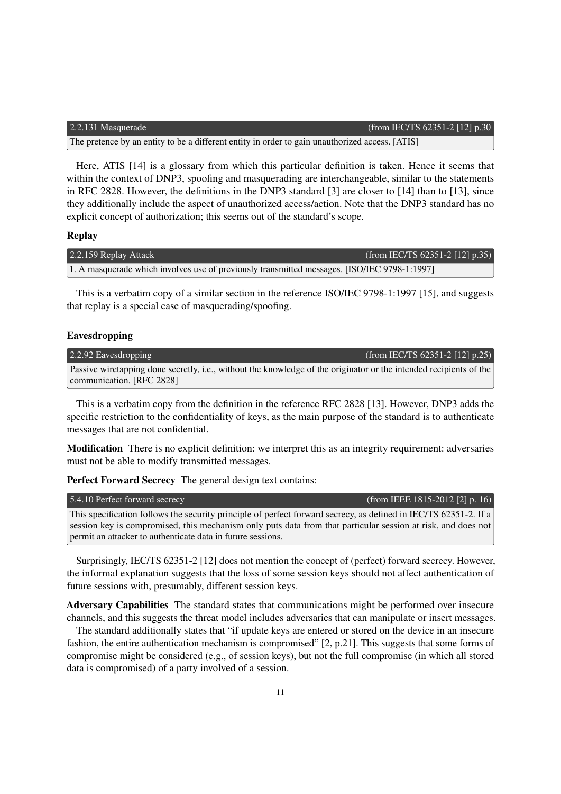| $2.2.131$ Masquerade                                                                            | (from IEC/TS $62351-2$ [12] p.30 |
|-------------------------------------------------------------------------------------------------|----------------------------------|
| The pretence by an entity to be a different entity in order to gain unauthorized access. [ATIS] |                                  |

Here, ATIS [\[14\]](#page-28-8) is a glossary from which this particular definition is taken. Hence it seems that within the context of DNP3, spoofing and masquerading are interchangeable, similar to the statements in RFC 2828. However, the definitions in the DNP3 standard [\[3\]](#page-27-2) are closer to [\[14\]](#page-28-8) than to [\[13\]](#page-28-7), since they additionally include the aspect of unauthorized access/action. Note that the DNP3 standard has no explicit concept of authorization; this seems out of the standard's scope.

## Replay

| 2.2.159 Replay Attack                                                                        | (from IEC/TS $62351-2$ [12] p.35) |
|----------------------------------------------------------------------------------------------|-----------------------------------|
| 1. A masquerade which involves use of previously transmitted messages. [ISO/IEC 9798-1:1997] |                                   |

This is a verbatim copy of a similar section in the reference ISO/IEC 9798-1:1997 [\[15\]](#page-28-9), and suggests that replay is a special case of masquerading/spoofing.

# Eavesdropping

| 2.2.92 Eavesdropping                                                                                                                            | (from IEC/TS 62351-2 [12] p.25). |
|-------------------------------------------------------------------------------------------------------------------------------------------------|----------------------------------|
| Passive wiretapping done secretly, i.e., without the knowledge of the originator or the intended recipients of the<br>communication. [RFC 2828] |                                  |
|                                                                                                                                                 |                                  |

This is a verbatim copy from the definition in the reference RFC 2828 [\[13\]](#page-28-7). However, DNP3 adds the specific restriction to the confidentiality of keys, as the main purpose of the standard is to authenticate messages that are not confidential.

Modification There is no explicit definition: we interpret this as an integrity requirement: adversaries must not be able to modify transmitted messages.

Perfect Forward Secrecy The general design text contains:

| 5.4.10 Perfect forward secrecy                                                                                   | (from IEEE 1815-2012 [2] p. 16). |
|------------------------------------------------------------------------------------------------------------------|----------------------------------|
| This specification follows the security principle of perfect forward secrecy, as defined in IEC/TS 62351-2. If a |                                  |
| session key is compromised, this mechanism only puts data from that particular session at risk, and does not     |                                  |
| permit an attacker to authenticate data in future sessions.                                                      |                                  |

Surprisingly, IEC/TS 62351-2 [\[12\]](#page-28-6) does not mention the concept of (perfect) forward secrecy. However, the informal explanation suggests that the loss of some session keys should not affect authentication of future sessions with, presumably, different session keys.

Adversary Capabilities The standard states that communications might be performed over insecure channels, and this suggests the threat model includes adversaries that can manipulate or insert messages.

The standard additionally states that "if update keys are entered or stored on the device in an insecure fashion, the entire authentication mechanism is compromised" [\[2,](#page-27-1) p.21]. This suggests that some forms of compromise might be considered (e.g., of session keys), but not the full compromise (in which all stored data is compromised) of a party involved of a session.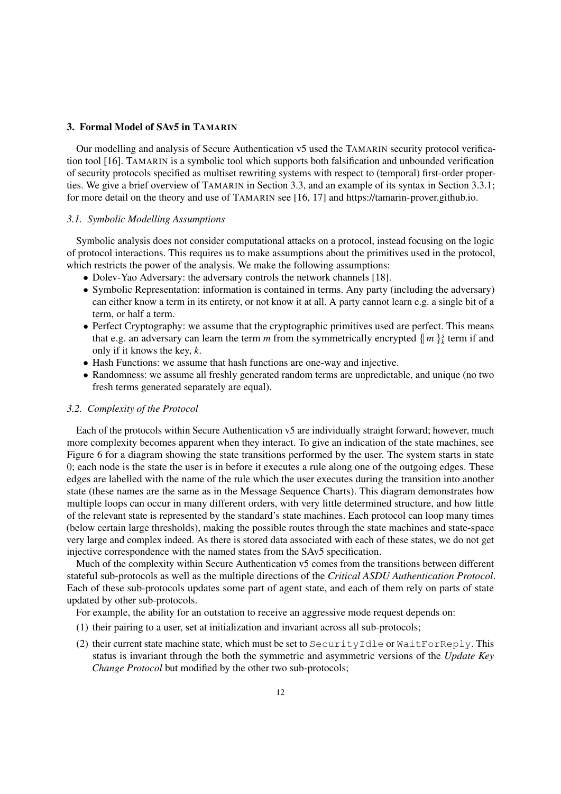#### <span id="page-11-0"></span>3. Formal Model of SAv5 in TAMARIN

Our modelling and analysis of Secure Authentication v5 used the TAMARIN security protocol verification tool [\[16\]](#page-28-10). TAMARIN is a symbolic tool which supports both falsification and unbounded verification of security protocols specified as multiset rewriting systems with respect to (temporal) first-order properties. We give a brief overview of TAMARIN in Section [3.3,](#page-12-0) and an example of its syntax in Section [3.3.1;](#page-13-0) for more detail on the theory and use of TAMARIN see [\[16,](#page-28-10) [17\]](#page-28-11) and [https://tamarin-prover.github.io.](https://tamarin-prover.github.io)

#### *3.1. Symbolic Modelling Assumptions*

Symbolic analysis does not consider computational attacks on a protocol, instead focusing on the logic of protocol interactions. This requires us to make assumptions about the primitives used in the protocol, which restricts the power of the analysis. We make the following assumptions:

- Dolev-Yao Adversary: the adversary controls the network channels [\[18\]](#page-28-12).
- Symbolic Representation: information is contained in terms. Any party (including the adversary) can either know a term in its entirety, or not know it at all. A party cannot learn e.g. a single bit of a term, or half a term.
- Perfect Cryptography: we assume that the cryptographic primitives used are perfect. This means that e.g. an adversary can learn the term *m* from the symmetrically encrypted  $\{m\}_{k}^{s}$  term if and only if it knows the key, *k*.
- Hash Functions: we assume that hash functions are one-way and injective.
- Randomness: we assume all freshly generated random terms are unpredictable, and unique (no two fresh terms generated separately are equal).

## *3.2. Complexity of the Protocol*

Each of the protocols within Secure Authentication v5 are individually straight forward; however, much more complexity becomes apparent when they interact. To give an indication of the state machines, see Figure [6](#page-12-1) for a diagram showing the state transitions performed by the user. The system starts in state 0; each node is the state the user is in before it executes a rule along one of the outgoing edges. These edges are labelled with the name of the rule which the user executes during the transition into another state (these names are the same as in the Message Sequence Charts). This diagram demonstrates how multiple loops can occur in many different orders, with very little determined structure, and how little of the relevant state is represented by the standard's state machines. Each protocol can loop many times (below certain large thresholds), making the possible routes through the state machines and state-space very large and complex indeed. As there is stored data associated with each of these states, we do not get injective correspondence with the named states from the SAv5 specification.

Much of the complexity within Secure Authentication v5 comes from the transitions between different stateful sub-protocols as well as the multiple directions of the *Critical ASDU Authentication Protocol*. Each of these sub-protocols updates some part of agent state, and each of them rely on parts of state updated by other sub-protocols.

For example, the ability for an outstation to receive an aggressive mode request depends on:

- (1) their pairing to a user, set at initialization and invariant across all sub-protocols;
- (2) their current state machine state, which must be set to SecurityIdle or WaitForReply. This status is invariant through the both the symmetric and asymmetric versions of the *Update Key Change Protocol* but modified by the other two sub-protocols;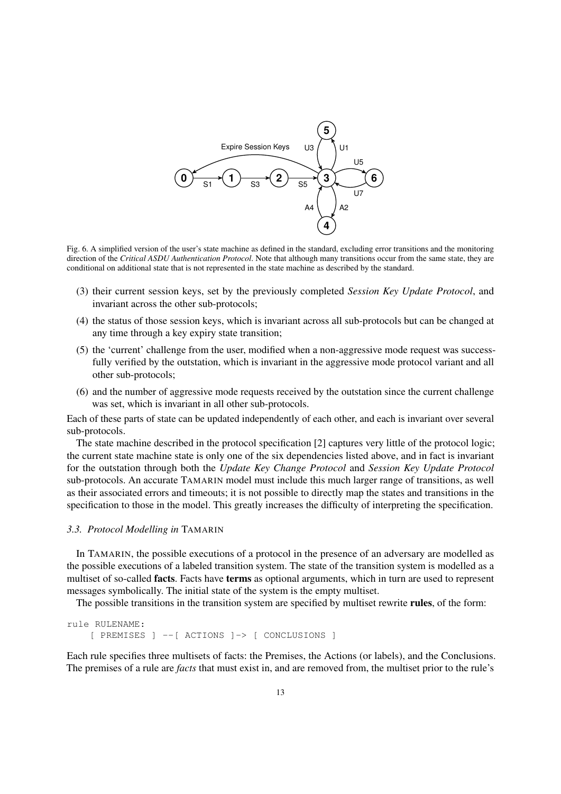

<span id="page-12-1"></span>Fig. 6. A simplified version of the user's state machine as defined in the standard, excluding error transitions and the monitoring direction of the *Critical ASDU Authentication Protocol*. Note that although many transitions occur from the same state, they are conditional on additional state that is not represented in the state machine as described by the standard.

- (3) their current session keys, set by the previously completed *Session Key Update Protocol*, and invariant across the other sub-protocols;
- (4) the status of those session keys, which is invariant across all sub-protocols but can be changed at any time through a key expiry state transition;
- (5) the 'current' challenge from the user, modified when a non-aggressive mode request was successfully verified by the outstation, which is invariant in the aggressive mode protocol variant and all other sub-protocols;
- (6) and the number of aggressive mode requests received by the outstation since the current challenge was set, which is invariant in all other sub-protocols.

Each of these parts of state can be updated independently of each other, and each is invariant over several sub-protocols.

The state machine described in the protocol specification [\[2\]](#page-27-1) captures very little of the protocol logic; the current state machine state is only one of the six dependencies listed above, and in fact is invariant for the outstation through both the *Update Key Change Protocol* and *Session Key Update Protocol* sub-protocols. An accurate TAMARIN model must include this much larger range of transitions, as well as their associated errors and timeouts; it is not possible to directly map the states and transitions in the specification to those in the model. This greatly increases the difficulty of interpreting the specification.

#### <span id="page-12-0"></span>*3.3. Protocol Modelling in* TAMARIN

In TAMARIN, the possible executions of a protocol in the presence of an adversary are modelled as the possible executions of a labeled transition system. The state of the transition system is modelled as a multiset of so-called facts. Facts have terms as optional arguments, which in turn are used to represent messages symbolically. The initial state of the system is the empty multiset.

The possible transitions in the transition system are specified by multiset rewrite rules, of the form:

```
rule RULENAME:
    [ PREMISES ] --[ ACTIONS ]-> [ CONCLUSIONS ]
```
Each rule specifies three multisets of facts: the Premises, the Actions (or labels), and the Conclusions. The premises of a rule are *facts* that must exist in, and are removed from, the multiset prior to the rule's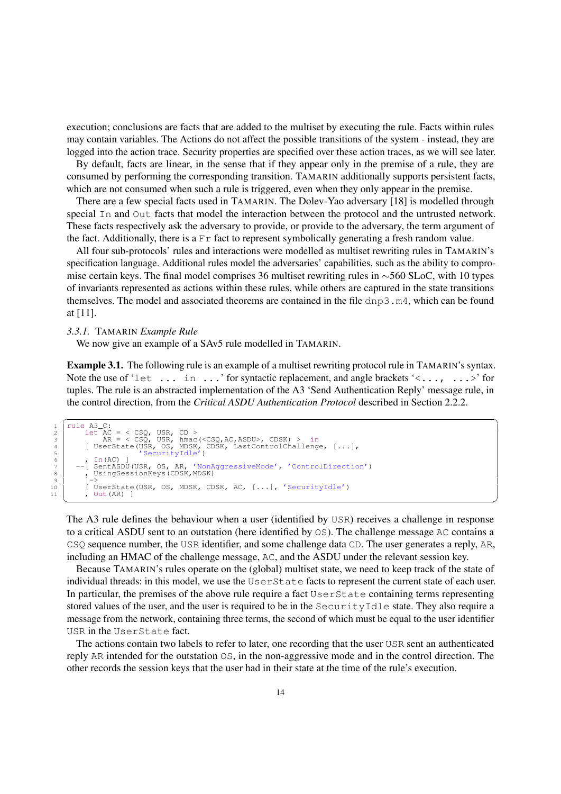execution; conclusions are facts that are added to the multiset by executing the rule. Facts within rules may contain variables. The Actions do not affect the possible transitions of the system - instead, they are logged into the action trace. Security properties are specified over these action traces, as we will see later.

By default, facts are linear, in the sense that if they appear only in the premise of a rule, they are consumed by performing the corresponding transition. TAMARIN additionally supports persistent facts, which are not consumed when such a rule is triggered, even when they only appear in the premise.

There are a few special facts used in TAMARIN. The Dolev-Yao adversary [\[18\]](#page-28-12) is modelled through special In and Out facts that model the interaction between the protocol and the untrusted network. These facts respectively ask the adversary to provide, or provide to the adversary, the term argument of the fact. Additionally, there is a  $Fr$  fact to represent symbolically generating a fresh random value.

All four sub-protocols' rules and interactions were modelled as multiset rewriting rules in TAMARIN's specification language. Additional rules model the adversaries' capabilities, such as the ability to compromise certain keys. The final model comprises 36 multiset rewriting rules in ∼560 SLoC, with 10 types of invariants represented as actions within these rules, while others are captured in the state transitions themselves. The model and associated theorems are contained in the file dnp3.m4, which can be found at [\[11\]](#page-28-5).

<span id="page-13-0"></span>*3.3.1.* TAMARIN *Example Rule*

We now give an example of a SAv5 rule modelled in TAMARIN.

Example 3.1. The following rule is an example of a multiset rewriting protocol rule in TAMARIN's syntax. Note the use of 'let  $\dots$  in  $\dots$ ' for syntactic replacement, and angle brackets ' $\langle \dots, \dots \rangle$ ' for tuples. The rule is an abstracted implementation of the A3 'Send Authentication Reply' message rule, in the control direction, from the *Critical ASDU Authentication Protocol* described in Section [2.2.2.](#page-5-0)

```
\frac{1}{2} rule A3_C:<br>\frac{1}{2} rule AC = < CSQ, USR, CD >
 3 AR = < CSQ, USR, hmac(<CSQ,AC,ASDU>, CDSK) > in
4 [ UserState(USR, OS, MDSK, CDSK, LastControlChallenge, [...],
5 'SecurityIdle')
\begin{array}{c|c} 6 & , & \text{In (AC)} \\ 7 & -- & \text{SentAs} \end{array}7 --[ SentASDU(USR, OS, AR, 'NonAggressiveMode', 'ControlDirection')<br>8 . UsingSessionKeys(CDSK,MDSK)
8 , UsingSessionKeys (CDSK, MDSK)<br>9 1->
 9 ]->
10 [ UserState(USR, OS, MDSK, CDSK, AC, [...], 'SecurityIdle')<br>11 [ Out(AR) ]
          Out(AR)✝ ✆
```
The A3 rule defines the behaviour when a user (identified by USR) receives a challenge in response to a critical ASDU sent to an outstation (here identified by OS). The challenge message AC contains a CSQ sequence number, the USR identifier, and some challenge data CD. The user generates a reply, AR, including an HMAC of the challenge message, AC, and the ASDU under the relevant session key.

Because TAMARIN's rules operate on the (global) multiset state, we need to keep track of the state of individual threads: in this model, we use the UserState facts to represent the current state of each user. In particular, the premises of the above rule require a fact UserState containing terms representing stored values of the user, and the user is required to be in the SecurityIdle state. They also require a message from the network, containing three terms, the second of which must be equal to the user identifier USR in the UserState fact.

The actions contain two labels to refer to later, one recording that the user USR sent an authenticated reply AR intended for the outstation OS, in the non-aggressive mode and in the control direction. The other records the session keys that the user had in their state at the time of the rule's execution.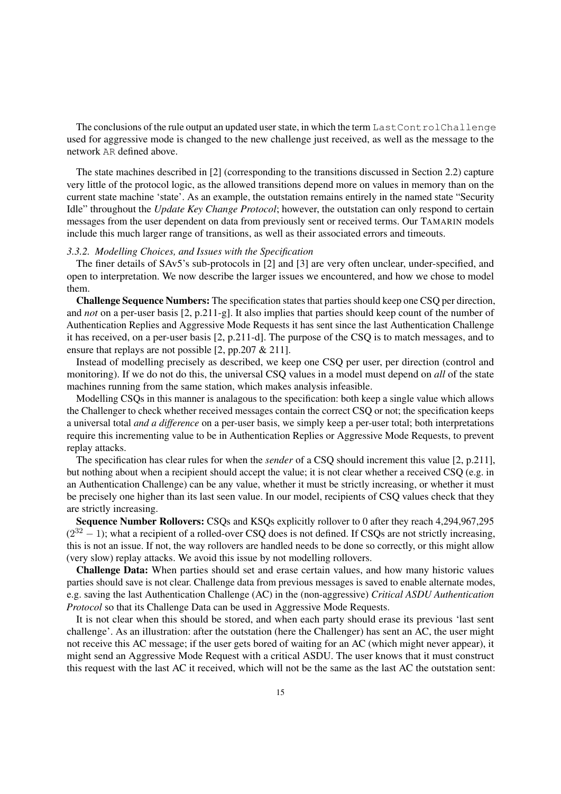The conclusions of the rule output an updated user state, in which the term LastControlChallenge used for aggressive mode is changed to the new challenge just received, as well as the message to the network AR defined above.

The state machines described in [\[2\]](#page-27-1) (corresponding to the transitions discussed in Section [2.2\)](#page-3-2) capture very little of the protocol logic, as the allowed transitions depend more on values in memory than on the current state machine 'state'. As an example, the outstation remains entirely in the named state "Security Idle" throughout the *Update Key Change Protocol*; however, the outstation can only respond to certain messages from the user dependent on data from previously sent or received terms. Our TAMARIN models include this much larger range of transitions, as well as their associated errors and timeouts.

## <span id="page-14-0"></span>*3.3.2. Modelling Choices, and Issues with the Specification*

The finer details of SAv5's sub-protocols in [\[2\]](#page-27-1) and [\[3\]](#page-27-2) are very often unclear, under-specified, and open to interpretation. We now describe the larger issues we encountered, and how we chose to model them.

Challenge Sequence Numbers: The specification states that parties should keep one CSQ per direction, and *not* on a per-user basis [\[2,](#page-27-1) p.211-g]. It also implies that parties should keep count of the number of Authentication Replies and Aggressive Mode Requests it has sent since the last Authentication Challenge it has received, on a per-user basis [\[2,](#page-27-1) p.211-d]. The purpose of the CSQ is to match messages, and to ensure that replays are not possible [\[2,](#page-27-1) pp.207 & 211].

Instead of modelling precisely as described, we keep one CSQ per user, per direction (control and monitoring). If we do not do this, the universal CSQ values in a model must depend on *all* of the state machines running from the same station, which makes analysis infeasible.

Modelling CSQs in this manner is analagous to the specification: both keep a single value which allows the Challenger to check whether received messages contain the correct CSQ or not; the specification keeps a universal total *and a difference* on a per-user basis, we simply keep a per-user total; both interpretations require this incrementing value to be in Authentication Replies or Aggressive Mode Requests, to prevent replay attacks.

The specification has clear rules for when the *sender* of a CSQ should increment this value [\[2,](#page-27-1) p.211], but nothing about when a recipient should accept the value; it is not clear whether a received CSQ (e.g. in an Authentication Challenge) can be any value, whether it must be strictly increasing, or whether it must be precisely one higher than its last seen value. In our model, recipients of CSQ values check that they are strictly increasing.

Sequence Number Rollovers: CSQs and KSQs explicitly rollover to 0 after they reach 4,294,967,295  $(2^{32} – 1)$ ; what a recipient of a rolled-over CSQ does is not defined. If CSQs are not strictly increasing, this is not an issue. If not, the way rollovers are handled needs to be done so correctly, or this might allow (very slow) replay attacks. We avoid this issue by not modelling rollovers.

Challenge Data: When parties should set and erase certain values, and how many historic values parties should save is not clear. Challenge data from previous messages is saved to enable alternate modes, e.g. saving the last Authentication Challenge (AC) in the (non-aggressive) *Critical ASDU Authentication Protocol* so that its Challenge Data can be used in Aggressive Mode Requests.

It is not clear when this should be stored, and when each party should erase its previous 'last sent challenge'. As an illustration: after the outstation (here the Challenger) has sent an AC, the user might not receive this AC message; if the user gets bored of waiting for an AC (which might never appear), it might send an Aggressive Mode Request with a critical ASDU. The user knows that it must construct this request with the last AC it received, which will not be the same as the last AC the outstation sent: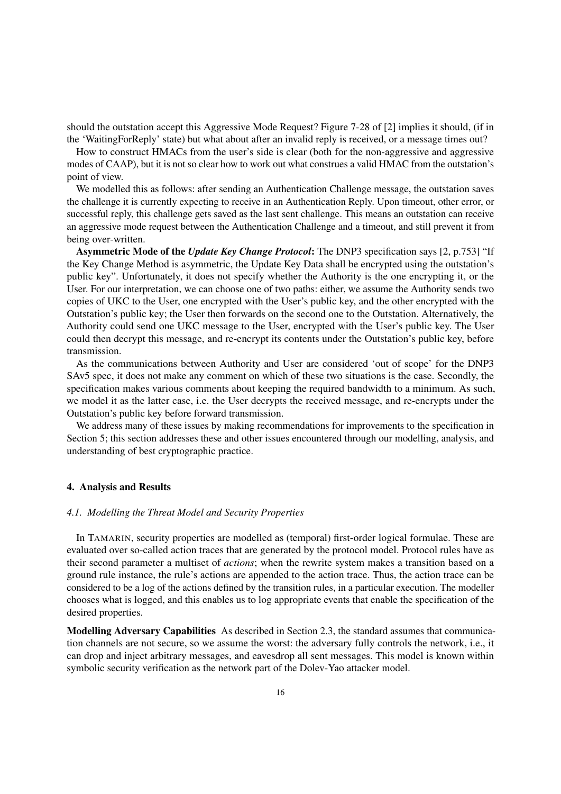should the outstation accept this Aggressive Mode Request? Figure 7-28 of [\[2\]](#page-27-1) implies it should, (if in the 'WaitingForReply' state) but what about after an invalid reply is received, or a message times out?

How to construct HMACs from the user's side is clear (both for the non-aggressive and aggressive modes of CAAP), but it is not so clear how to work out what construes a valid HMAC from the outstation's point of view.

We modelled this as follows: after sending an Authentication Challenge message, the outstation saves the challenge it is currently expecting to receive in an Authentication Reply. Upon timeout, other error, or successful reply, this challenge gets saved as the last sent challenge. This means an outstation can receive an aggressive mode request between the Authentication Challenge and a timeout, and still prevent it from being over-written.

Asymmetric Mode of the *Update Key Change Protocol*: The DNP3 specification says [\[2,](#page-27-1) p.753] "If the Key Change Method is asymmetric, the Update Key Data shall be encrypted using the outstation's public key". Unfortunately, it does not specify whether the Authority is the one encrypting it, or the User. For our interpretation, we can choose one of two paths: either, we assume the Authority sends two copies of UKC to the User, one encrypted with the User's public key, and the other encrypted with the Outstation's public key; the User then forwards on the second one to the Outstation. Alternatively, the Authority could send one UKC message to the User, encrypted with the User's public key. The User could then decrypt this message, and re-encrypt its contents under the Outstation's public key, before transmission.

As the communications between Authority and User are considered 'out of scope' for the DNP3 SAv5 spec, it does not make any comment on which of these two situations is the case. Secondly, the specification makes various comments about keeping the required bandwidth to a minimum. As such, we model it as the latter case, i.e. the User decrypts the received message, and re-encrypts under the Outstation's public key before forward transmission.

We address many of these issues by making recommendations for improvements to the specification in Section [5;](#page-25-0) this section addresses these and other issues encountered through our modelling, analysis, and understanding of best cryptographic practice.

#### <span id="page-15-0"></span>4. Analysis and Results

#### <span id="page-15-1"></span>*4.1. Modelling the Threat Model and Security Properties*

In TAMARIN, security properties are modelled as (temporal) first-order logical formulae. These are evaluated over so-called action traces that are generated by the protocol model. Protocol rules have as their second parameter a multiset of *actions*; when the rewrite system makes a transition based on a ground rule instance, the rule's actions are appended to the action trace. Thus, the action trace can be considered to be a log of the actions defined by the transition rules, in a particular execution. The modeller chooses what is logged, and this enables us to log appropriate events that enable the specification of the desired properties.

Modelling Adversary Capabilities As described in Section [2.3,](#page-8-0) the standard assumes that communication channels are not secure, so we assume the worst: the adversary fully controls the network, i.e., it can drop and inject arbitrary messages, and eavesdrop all sent messages. This model is known within symbolic security verification as the network part of the Dolev-Yao attacker model.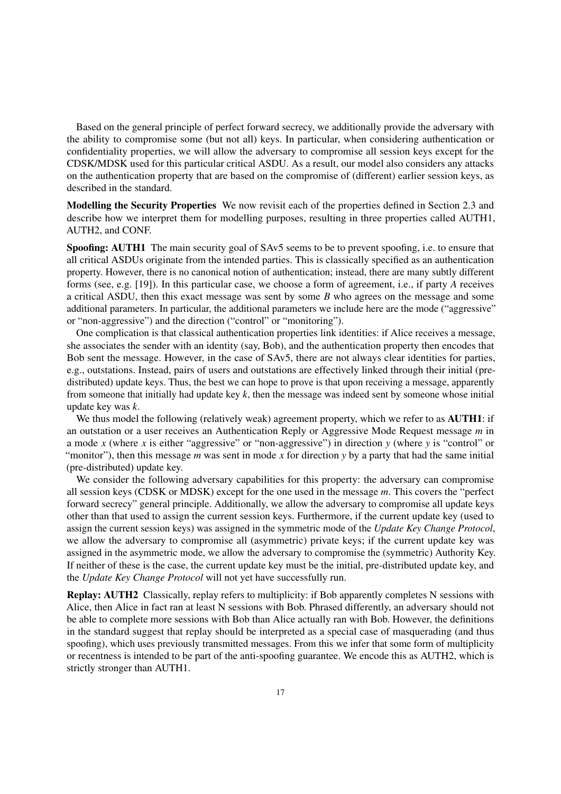Based on the general principle of perfect forward secrecy, we additionally provide the adversary with the ability to compromise some (but not all) keys. In particular, when considering authentication or confidentiality properties, we will allow the adversary to compromise all session keys except for the CDSK/MDSK used for this particular critical ASDU. As a result, our model also considers any attacks on the authentication property that are based on the compromise of (different) earlier session keys, as described in the standard.

Modelling the Security Properties We now revisit each of the properties defined in Section [2.3](#page-8-0) and describe how we interpret them for modelling purposes, resulting in three properties called AUTH1, AUTH2, and CONF.

Spoofing: AUTH1 The main security goal of SAv5 seems to be to prevent spoofing, i.e. to ensure that all critical ASDUs originate from the intended parties. This is classically specified as an authentication property. However, there is no canonical notion of authentication; instead, there are many subtly different forms (see, e.g. [\[19\]](#page-28-13)). In this particular case, we choose a form of agreement, i.e., if party *A* receives a critical ASDU, then this exact message was sent by some *B* who agrees on the message and some additional parameters. In particular, the additional parameters we include here are the mode ("aggressive" or "non-aggressive") and the direction ("control" or "monitoring").

One complication is that classical authentication properties link identities: if Alice receives a message, she associates the sender with an identity (say, Bob), and the authentication property then encodes that Bob sent the message. However, in the case of SAv5, there are not always clear identities for parties, e.g., outstations. Instead, pairs of users and outstations are effectively linked through their initial (predistributed) update keys. Thus, the best we can hope to prove is that upon receiving a message, apparently from someone that initially had update key *k*, then the message was indeed sent by someone whose initial update key was *k*.

We thus model the following (relatively weak) agreement property, which we refer to as **AUTH1**: if an outstation or a user receives an Authentication Reply or Aggressive Mode Request message *m* in a mode *x* (where *x* is either "aggressive" or "non-aggressive") in direction *y* (where *y* is "control" or "monitor"), then this message *m* was sent in mode *x* for direction *y* by a party that had the same initial (pre-distributed) update key.

We consider the following adversary capabilities for this property: the adversary can compromise all session keys (CDSK or MDSK) except for the one used in the message *m*. This covers the "perfect forward secrecy" general principle. Additionally, we allow the adversary to compromise all update keys other than that used to assign the current session keys. Furthermore, if the current update key (used to assign the current session keys) was assigned in the symmetric mode of the *Update Key Change Protocol*, we allow the adversary to compromise all (asymmetric) private keys; if the current update key was assigned in the asymmetric mode, we allow the adversary to compromise the (symmetric) Authority Key. If neither of these is the case, the current update key must be the initial, pre-distributed update key, and the *Update Key Change Protocol* will not yet have successfully run.

Replay: AUTH2 Classically, replay refers to multiplicity: if Bob apparently completes N sessions with Alice, then Alice in fact ran at least N sessions with Bob. Phrased differently, an adversary should not be able to complete more sessions with Bob than Alice actually ran with Bob. However, the definitions in the standard suggest that replay should be interpreted as a special case of masquerading (and thus spoofing), which uses previously transmitted messages. From this we infer that some form of multiplicity or recentness is intended to be part of the anti-spoofing guarantee. We encode this as AUTH2, which is strictly stronger than AUTH1.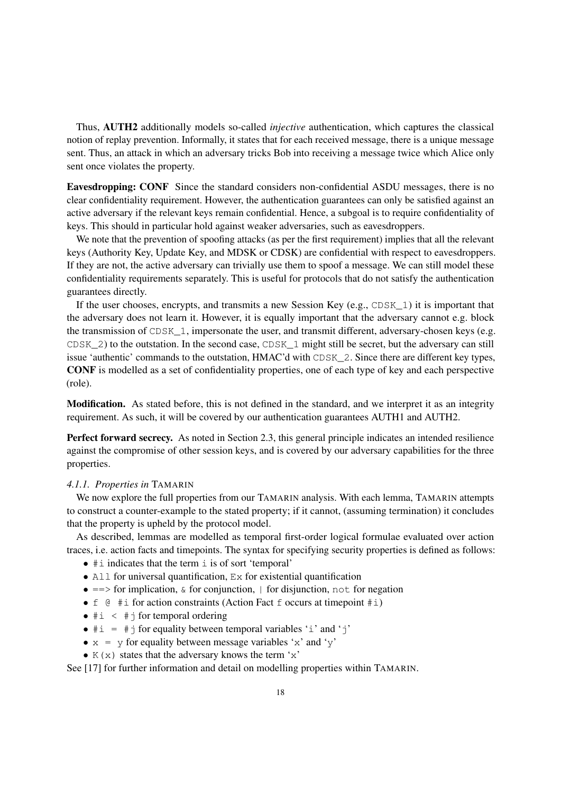Thus, AUTH2 additionally models so-called *injective* authentication, which captures the classical notion of replay prevention. Informally, it states that for each received message, there is a unique message sent. Thus, an attack in which an adversary tricks Bob into receiving a message twice which Alice only sent once violates the property.

Eavesdropping: CONF Since the standard considers non-confidential ASDU messages, there is no clear confidentiality requirement. However, the authentication guarantees can only be satisfied against an active adversary if the relevant keys remain confidential. Hence, a subgoal is to require confidentiality of keys. This should in particular hold against weaker adversaries, such as eavesdroppers.

We note that the prevention of spoofing attacks (as per the first requirement) implies that all the relevant keys (Authority Key, Update Key, and MDSK or CDSK) are confidential with respect to eavesdroppers. If they are not, the active adversary can trivially use them to spoof a message. We can still model these confidentiality requirements separately. This is useful for protocols that do not satisfy the authentication guarantees directly.

If the user chooses, encrypts, and transmits a new Session Key (e.g., CDSK\_1) it is important that the adversary does not learn it. However, it is equally important that the adversary cannot e.g. block the transmission of CDSK 1, impersonate the user, and transmit different, adversary-chosen keys (e.g. CDSK\_2) to the outstation. In the second case, CDSK\_1 might still be secret, but the adversary can still issue 'authentic' commands to the outstation, HMAC'd with CDSK\_2. Since there are different key types, CONF is modelled as a set of confidentiality properties, one of each type of key and each perspective (role).

Modification. As stated before, this is not defined in the standard, and we interpret it as an integrity requirement. As such, it will be covered by our authentication guarantees AUTH1 and AUTH2.

Perfect forward secrecy. As noted in Section [2.3,](#page-8-0) this general principle indicates an intended resilience against the compromise of other session keys, and is covered by our adversary capabilities for the three properties.

#### *4.1.1. Properties in* TAMARIN

We now explore the full properties from our TAMARIN analysis. With each lemma, TAMARIN attempts to construct a counter-example to the stated property; if it cannot, (assuming termination) it concludes that the property is upheld by the protocol model.

As described, lemmas are modelled as temporal first-order logical formulae evaluated over action traces, i.e. action facts and timepoints. The syntax for specifying security properties is defined as follows:

- $\bullet$  #i indicates that the term i is of sort 'temporal'
- All for universal quantification, Ex for existential quantification
- $\bullet$  ==> for implication,  $\&$  for conjunction, | for disjunction, not for negation
- $f \in \mathbb{R}$  #i for action constraints (Action Fact f occurs at timepoint #i)
- $\#$ i <  $\#$ j for temporal ordering
- $\bullet$  #i = #j for equality between temporal variables 'i' and 'j'
- $x = y$  for equality between message variables 'x' and 'y'
- K(x) states that the adversary knows the term  $x'$

See [\[17\]](#page-28-11) for further information and detail on modelling properties within TAMARIN.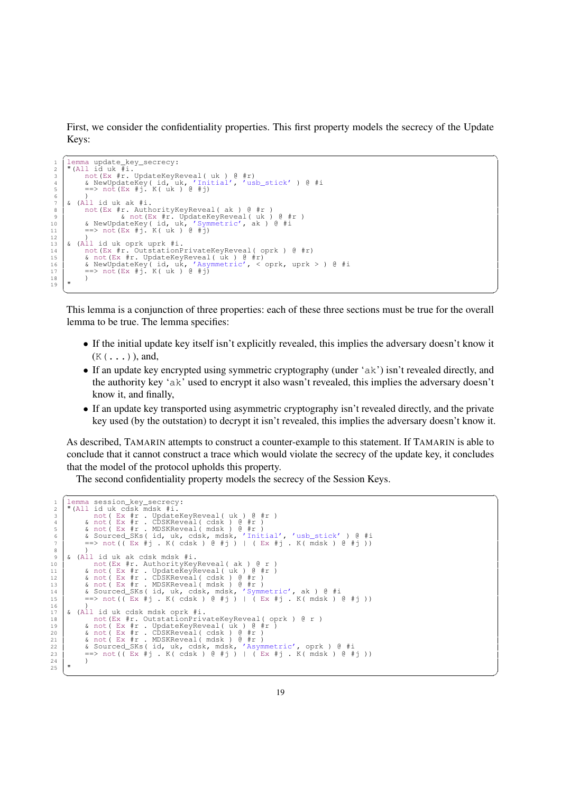First, we consider the confidentiality properties. This first property models the secrecy of the Update Keys:

```
1 lemma update_key_secrecy: \sqrt{1 - \frac{1}{2}}2 "(All id uk #i.
3 not(Ex #r. UpdateKeyReveal( uk ) @ #r)
4 & NewUpdateKey( id, uk, 'Initial', 'usb_stick' ) @ #i
5 ==> not(Ex #j. K( uk ) @ #j)
6 )
 \begin{array}{c} 7 \ 7 \ 8 \ \end{array} (All id uk ak #i.
            not(Ex #r. AuthorityKeyReveal( ak ) @ #r )<br>& not(Ex #r. UpdateKeyReveal( uk ) @ #r )<br>& NewUpdateKey( id, uk, 'Symmetric', ak ) @ #i
9 & not(Ex #r. UpdateKeyReveal( uk ) @ #r )
10 & NewUpdateKey( id, uk, 'Symmetric', ak ) @ #i
11 ==> not(Ex #j. K( uk ) @ #j)
12 )
13 & (All id uk oprk uprk #i.
14 not(Ex #r. OutstationPrivateKeyReveal( oprk ) @ #r)<br>
15 & not(Ex #r. UpdateKeyReveal( uk ) @ #r)<br>
16 & NewUpdateKey( id, uk, 'Asymmetric', < oprk, uprk > ) @ #i<br>
==> not(Ex #j. K( uk ) @ #j)
\begin{array}{c|c} 18 & \\ 19 & \\ \end{array} \begin{array}{c} \end{array}19 "
     ✝ ✆
```
This lemma is a conjunction of three properties: each of these three sections must be true for the overall lemma to be true. The lemma specifies:

- If the initial update key itself isn't explicitly revealed, this implies the adversary doesn't know it  $(K(\ldots))$ , and,
- If an update key encrypted using symmetric cryptography (under 'ak') isn't revealed directly, and the authority key 'ak' used to encrypt it also wasn't revealed, this implies the adversary doesn't know it, and finally,
- If an update key transported using asymmetric cryptography isn't revealed directly, and the private key used (by the outstation) to decrypt it isn't revealed, this implies the adversary doesn't know it.

As described, TAMARIN attempts to construct a counter-example to this statement. If TAMARIN is able to conclude that it cannot construct a trace which would violate the secrecy of the update key, it concludes that the model of the protocol upholds this property.

The second confidentiality property models the secrecy of the Session Keys.

```
✞ ☎
 1 lemma session_key_secrecy:<br>2 \sqrt{\frac{m}{n}} (All id uk cdsk mdsk #i.
 % "(All id uk cdsk mdsk #i.<br>
not (Ex #r . UpdateKeyReveal( uk ) @ #r )<br>
& not (Ex #r . CDSKReveal( cdsk ) @ #r )<br>
& not (Ex #r . MDSKReveal( mdsk ) @ #r )<br>
& Sourced_SKs( id, uk, cdsk, mdsk, 'Initial', 'usb_stick' ) @ #i<br>

9 & (All id uk ak cdsk mdsk #i.
10 not(Ex #r. AuthorityKeyReveal( ak ) @ r )
11 & not( Ex #r . UpdateKeyReveal( uk ) @ #r )
12 & not( Ex #r . CDSKReveal( cdsk ) @ #r )
13 & not( Ex #r . MDSKReveal( mdsk ) @ #r )
14 & Sourced_SKs( id, uk, cdsk, mdsk, 'Symmetric', ak ) @ #i
15 ==> not(( Ex #j . K( cdsk ) @ #j ) | ( Ex #j . K( mdsk ) @ #j ))
16 )
17 & (All id uk cdsk mdsk oprk #i.
not (Ex #r. OutstationPrivateKeyReveal (oprk) @ r)<br>
& not (Ex #r. UpdateKeyReveal (uk) @ #r)<br>
& not (Ex #r. CDSKReveal (cdsk) @ #r)<br>
& not (Ex #r. MDSKReveal (cdsk) @ #r)<br>
& Sourced_SKs (id, uk, cdsk, mdsk, 'Asymmetric', o
\begin{array}{c|c} 24 & \\ 25 & \end{array} \blacksquare✝ ✆
```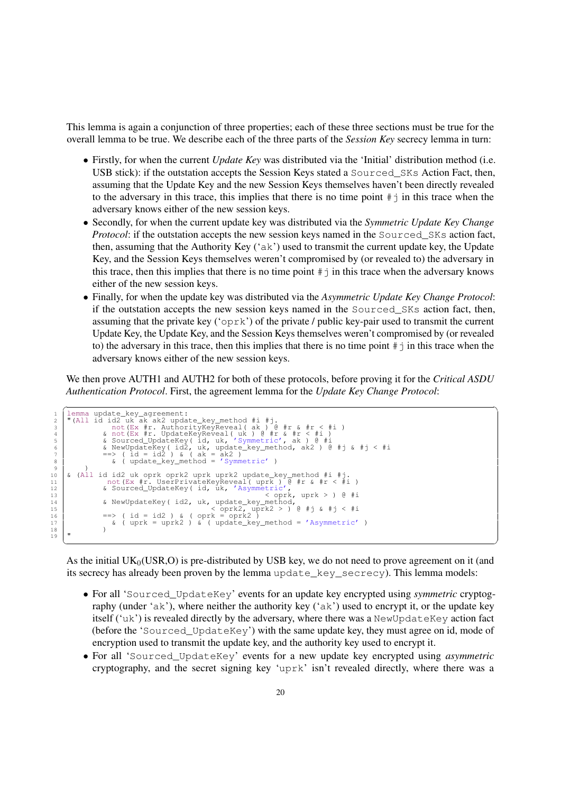This lemma is again a conjunction of three properties; each of these three sections must be true for the overall lemma to be true. We describe each of the three parts of the *Session Key* secrecy lemma in turn:

- Firstly, for when the current *Update Key* was distributed via the 'Initial' distribution method (i.e. USB stick): if the outstation accepts the Session Keys stated a Sourced SKs Action Fact, then, assuming that the Update Key and the new Session Keys themselves haven't been directly revealed to the adversary in this trace, this implies that there is no time point  $\# \dagger$  in this trace when the adversary knows either of the new session keys.
- Secondly, for when the current update key was distributed via the *Symmetric Update Key Change Protocol*: if the outstation accepts the new session keys named in the Sourced SKs action fact, then, assuming that the Authority Key ('ak') used to transmit the current update key, the Update Key, and the Session Keys themselves weren't compromised by (or revealed to) the adversary in this trace, then this implies that there is no time point  $\# \dagger$  in this trace when the adversary knows either of the new session keys.
- Finally, for when the update key was distributed via the *Asymmetric Update Key Change Protocol*: if the outstation accepts the new session keys named in the Sourced\_SKs action fact, then, assuming that the private key ('oprk') of the private / public key-pair used to transmit the current Update Key, the Update Key, and the Session Keys themselves weren't compromised by (or revealed to) the adversary in this trace, then this implies that there is no time point  $\#$  in this trace when the adversary knows either of the new session keys.

We then prove AUTH1 and AUTH2 for both of these protocols, before proving it for the *Critical ASDU Authentication Protocol*. First, the agreement lemma for the *Update Key Change Protocol*:

```
I Temma update_key_agreement:<br>
<sup>3</sup> (All id id2 uk ak ak2 update_key_method #i #j.<br>
ont(Ex #r. AuthorityKeyReveal( ak ) @ #r & #r < #i )<br>
& not(Ex #r. UpdateKeyReveal( uk, 0 #r & #r < #i )<br>
& Sourced_UpdateKey( id, uk, "Sym
10 & (All id id2 uk oprk oprk2 uprk uprk2 update_key_method #i #j.
11 not(Ex #r. UserPrivateKeyReveal( uprk ) @ #r & #r < #i )
12 & Sourced_UpdateKey( id, uk, 'Asymmetric',
13 < oprk, uprk > ) @ #i
13<br>
14 & NewUpdateKey(id2, uk, update_key_method,<br>
15 & NewUpdateKey(id2, uk, update_key_method,<br>
200rk2. uprk2 > ) @ #i & #i < #i
15 \begin{pmatrix} 15 \\ -2 \end{pmatrix} \begin{pmatrix} 16 \\ -10 \end{pmatrix} \begin{pmatrix} 16 \\ -10 \end{pmatrix} \begin{pmatrix} 16 \\ -10 \end{pmatrix} \begin{pmatrix} 16 \\ -10 \end{pmatrix} \begin{pmatrix} 16 \\ -10 \end{pmatrix} \begin{pmatrix} 16 \\ -10 \end{pmatrix} \begin{pmatrix} 16 \\ -10 \end{pmatrix} \begin{pmatrix} 16 \\ -10 \end{pmatrix} \begin{pmatrix} 16 \\ -10 \end{pmatrix} 
18 )
```
As the initial  $UK_0(USR, O)$  is pre-distributed by USB key, we do not need to prove agreement on it (and its secrecy has already been proven by the lemma update\_key\_secrecy). This lemma models:

✝ ✆

- For all 'Sourced\_UpdateKey' events for an update key encrypted using *symmetric* cryptography (under 'ak'), where neither the authority key ('ak') used to encrypt it, or the update key itself ('uk') is revealed directly by the adversary, where there was a  $NewUpdateKey$  action fact (before the 'Sourced\_UpdateKey') with the same update key, they must agree on id, mode of encryption used to transmit the update key, and the authority key used to encrypt it.
- For all 'Sourced\_UpdateKey' events for a new update key encrypted using *asymmetric* cryptography, and the secret signing key 'uprk' isn't revealed directly, where there was a

1<sup>9</sup>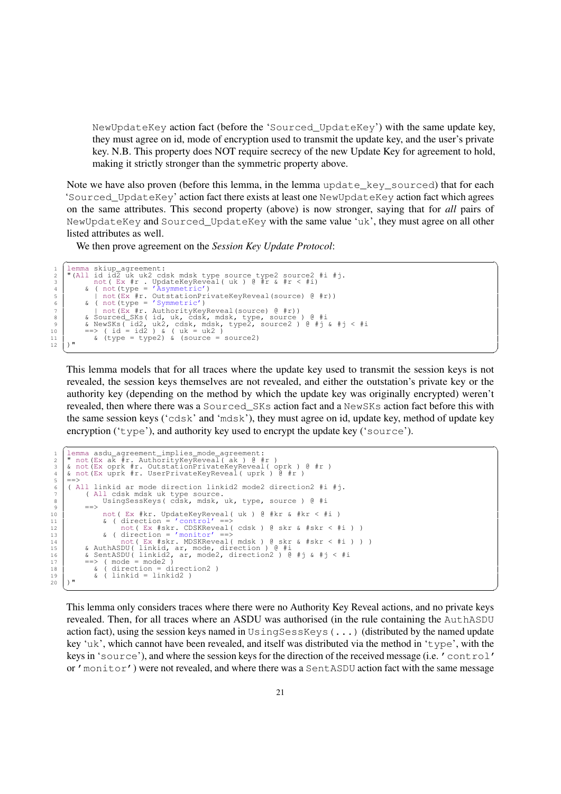NewUpdateKey action fact (before the 'Sourced\_UpdateKey') with the same update key, they must agree on id, mode of encryption used to transmit the update key, and the user's private key. N.B. This property does NOT require secrecy of the new Update Key for agreement to hold, making it strictly stronger than the symmetric property above.

Note we have also proven (before this lemma, in the lemma update\_key\_sourced) that for each 'Sourced\_UpdateKey' action fact there exists at least one NewUpdateKey action fact which agrees on the same attributes. This second property (above) is now stronger, saying that for *all* pairs of NewUpdateKey and Sourced\_UpdateKey with the same value 'uk', they must agree on all other listed attributes as well.

We then prove agreement on the *Session Key Update Protocol*:

```
✞ ☎
1 lemma skiup_agreement:
2 "(All id id2 uk uk2 cdsk mdsk type source type2 source2 #i #j.
 3 not( Ex #r . UpdateKeyReveal( uk ) @ #r & #r < #i)<br>4 <br> & ( not(type = 'Asymmetric')
 \begin{array}{c|c}\n5 & \text{not (Ex } \#r. \text{ Our stationary } \text{and (source)} \& \#r)\n\end{array}( not(type = 'Symmetric')
 \begin{array}{c} 7 \ \text{mod} \ \text{mod} \ \text{mod} \ \text{mod} \ \text{mod} \ \text{mod} \ \text{mod} \ \text{mod} \ \text{mod} \ \text{mod} \ \text{mod} \ \text{mod} \ \text{mod} \ \text{mod} \ \text{mod} \ \text{mod} \ \text{mod} \ \text{mod} \ \text{mod} \ \text{mod} \ \text{mod} \ \text{mod} \ \text{mod} \ \text{mod} \ \text{mod} \ \text{mod} \ \text{mod} \ \text{mod} \ \text{mod} \ \text{mod} \ \text{mod} \ \text{mod} \ \text{mod} \ \text{mod} \ \text{mod} \8 & Sourced_SKs( id, uk, cdsk, mdsk, type, source ) @ #i
9 & NewSKs( id2, uk2, cdsk, mdsk, type2, source2 ) @ #j & #j < #i
10 ==> ( id = id2 ) & ( uk = uk2 )
11 \& (type = type2) \& (source = source2)
\frac{11}{12} ) "
     ✝ ✆
```
This lemma models that for all traces where the update key used to transmit the session keys is not revealed, the session keys themselves are not revealed, and either the outstation's private key or the authority key (depending on the method by which the update key was originally encrypted) weren't revealed, then where there was a Sourced\_SKs action fact and a NewSKs action fact before this with the same session keys ('cdsk' and 'mdsk'), they must agree on id, update key, method of update key encryption ( $'$ type'), and authority key used to encrypt the update key ( $'$ source').

```
✞ ☎
1 lemma asdu_agreement_implies_mode_agreement:
```

```
2 " not (Ex ak #r. AuthorityKeyReveal( ak ) @ #r )<br>3 & not (Ex oprk #r. OutstationPrivateKeyReveal ( oprk ) @ #r )<br>5 ==><br>5 ==>
 \begin{array}{c} \begin{array}{c} 6 \\ 7 \end{array} ( All linkid ar mode direction linkid2 mode2 direction2 #i #j.
 7 ( All cdsk mdsk uk type source.
8 UsingSessKeys( cdsk, mdsk, uk, type, source ) @ #i
          =10 not( Ex #kr. UpdateKeyReveal( uk ) @ #kr & #kr < #i )
11 \overline{\text{a}} (direction = 'control'<br>
12 and (Ex #skr. CDSKRev
12 not( Ex #skr. CDSKReveal( cdsk ) @ skr & #skr < #i ) )
13 & ( direction = 'monitor' ==>
14 | not (Ex #skr. MDSKReveal (mdsk ) @ skr & #skr < #i ) ) )
15 & AuthASDU( linkid, ar, mode, direction ) @ #i
16 & SentASDU( linkid2, ar, mode2, direction2 ) @ #j & #j < #i
17 = > (mode = mode2 )<br>
18 \alpha ( direction = direction2 )
\begin{bmatrix} 19 \\ 20 \end{bmatrix} \begin{bmatrix} 6 \\ 11 \end{bmatrix} ( linkid = linkid2 )
    ) "
    ✝ ✆
```
This lemma only considers traces where there were no Authority Key Reveal actions, and no private keys revealed. Then, for all traces where an ASDU was authorised (in the rule containing the AuthASDU action fact), using the session keys named in  $\text{UsingsEeys}(...)$  (distributed by the named update key 'uk', which cannot have been revealed, and itself was distributed via the method in 'type', with the keys in 'source'), and where the session keys for the direction of the received message (i.e. 'control' or 'monitor') were not revealed, and where there was a SentASDU action fact with the same message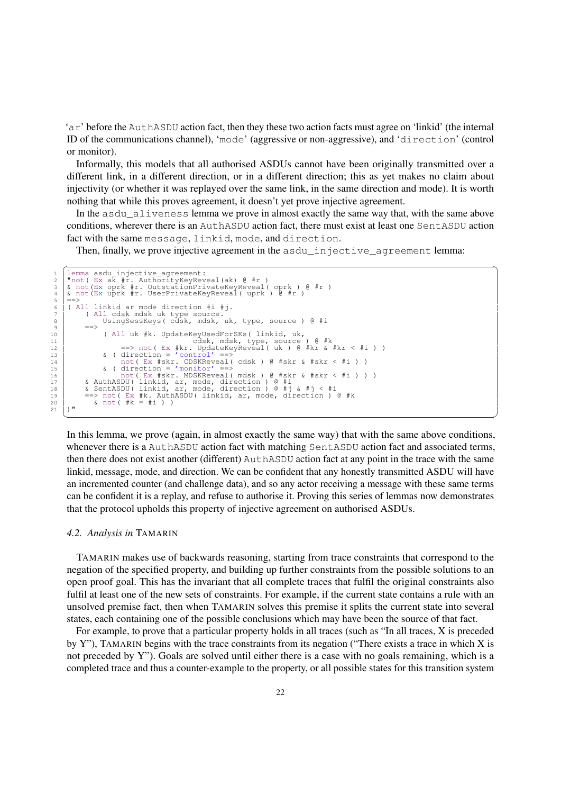'ar' before the AuthASDU action fact, then they these two action facts must agree on 'linkid' (the internal ID of the communications channel), 'mode' (aggressive or non-aggressive), and 'direction' (control or monitor).

Informally, this models that all authorised ASDUs cannot have been originally transmitted over a different link, in a different direction, or in a different direction; this as yet makes no claim about injectivity (or whether it was replayed over the same link, in the same direction and mode). It is worth nothing that while this proves agreement, it doesn't yet prove injective agreement.

In the asdu aliveness lemma we prove in almost exactly the same way that, with the same above conditions, wherever there is an AuthASDU action fact, there must exist at least one SentASDU action fact with the same message, linkid, mode, and direction.

Then, finally, we prove injective agreement in the asdu\_injective\_agreement lemma:

```
\overline{21} ) "
```

```
<sup>1</sup> lemma asdu_injective_agreement:<br>
<sup>2</sup> "not( Ex ak #r. AuthorityKeyReveal(ak) @ #r )<br>
4 & not(Ex uprk #r. UserPrivateKeyReveal( uprk ) @ #r )<br>
5 = >
 \begin{bmatrix} 6 \\ 7 \end{bmatrix} (All linkid ar mode direction #i #j.
 7 ( All cdsk mdsk uk type source.
8 UsingSessKeys( cdsk, mdsk, uk, type, source ) @ #i
\begin{array}{c|c}\n9 & \phantom{0} \rightarrow \end{array} ==>
10 (All uk #k. UpdateKeyUsedForSKs( linkid, uk,<br>
cdsk, mdsk, type, source
11 cdsk, mdsk, type, source ) @ #k<br>
12 = > not ( Ex #kr. UpdateKeyReveal ( uk ) @ #kr & #kr < #i ) )<br>
4 ( direction = 'control' = >
14 not( Ex #skr. CDSKReveal( cdsk ) @ #skr & #skr < #i ) )
15 & ( direction = 'monitor' ==>
16 not( Ex #skr. MDSKReveal( mdsk ) @ #skr & #skr < #i ) ) )
17 & AuthASDU( linkid, ar, mode, direction ) @ #i
18 & SentASDU( linkid, ar, mode, direction ) @ #j & #j < #i
19 ==> not( Ex #k. AuthASDU( linkid, ar, mode, direction ) @ #k
20 & not( #k = #i ) )
    ✝ ✆
```
In this lemma, we prove (again, in almost exactly the same way) that with the same above conditions, whenever there is a AuthASDU action fact with matching SentASDU action fact and associated terms, then there does not exist another (different) AuthASDU action fact at any point in the trace with the same linkid, message, mode, and direction. We can be confident that any honestly transmitted ASDU will have an incremented counter (and challenge data), and so any actor receiving a message with these same terms can be confident it is a replay, and refuse to authorise it. Proving this series of lemmas now demonstrates that the protocol upholds this property of injective agreement on authorised ASDUs.

## *4.2. Analysis in* TAMARIN

TAMARIN makes use of backwards reasoning, starting from trace constraints that correspond to the negation of the specified property, and building up further constraints from the possible solutions to an open proof goal. This has the invariant that all complete traces that fulfil the original constraints also fulfil at least one of the new sets of constraints. For example, if the current state contains a rule with an unsolved premise fact, then when TAMARIN solves this premise it splits the current state into several states, each containing one of the possible conclusions which may have been the source of that fact.

For example, to prove that a particular property holds in all traces (such as "In all traces, X is preceded by Y"), TAMARIN begins with the trace constraints from its negation ("There exists a trace in which X is not preceded by Y"). Goals are solved until either there is a case with no goals remaining, which is a completed trace and thus a counter-example to the property, or all possible states for this transition system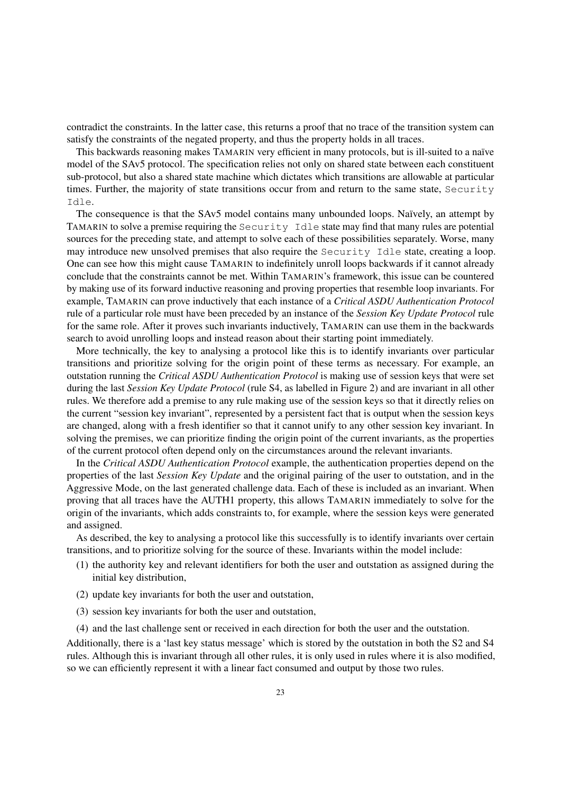contradict the constraints. In the latter case, this returns a proof that no trace of the transition system can satisfy the constraints of the negated property, and thus the property holds in all traces.

This backwards reasoning makes TAMARIN very efficient in many protocols, but is ill-suited to a naïve model of the SAv5 protocol. The specification relies not only on shared state between each constituent sub-protocol, but also a shared state machine which dictates which transitions are allowable at particular times. Further, the majority of state transitions occur from and return to the same state, Security Idle.

The consequence is that the SAv5 model contains many unbounded loops. Naïvely, an attempt by TAMARIN to solve a premise requiring the Security Idle state may find that many rules are potential sources for the preceding state, and attempt to solve each of these possibilities separately. Worse, many may introduce new unsolved premises that also require the Security Idle state, creating a loop. One can see how this might cause TAMARIN to indefinitely unroll loops backwards if it cannot already conclude that the constraints cannot be met. Within TAMARIN's framework, this issue can be countered by making use of its forward inductive reasoning and proving properties that resemble loop invariants. For example, TAMARIN can prove inductively that each instance of a *Critical ASDU Authentication Protocol* rule of a particular role must have been preceded by an instance of the *Session Key Update Protocol* rule for the same role. After it proves such invariants inductively, TAMARIN can use them in the backwards search to avoid unrolling loops and instead reason about their starting point immediately.

More technically, the key to analysing a protocol like this is to identify invariants over particular transitions and prioritize solving for the origin point of these terms as necessary. For example, an outstation running the *Critical ASDU Authentication Protocol* is making use of session keys that were set during the last *Session Key Update Protocol* (rule S4, as labelled in Figure [2\)](#page-4-0) and are invariant in all other rules. We therefore add a premise to any rule making use of the session keys so that it directly relies on the current "session key invariant", represented by a persistent fact that is output when the session keys are changed, along with a fresh identifier so that it cannot unify to any other session key invariant. In solving the premises, we can prioritize finding the origin point of the current invariants, as the properties of the current protocol often depend only on the circumstances around the relevant invariants.

In the *Critical ASDU Authentication Protocol* example, the authentication properties depend on the properties of the last *Session Key Update* and the original pairing of the user to outstation, and in the Aggressive Mode, on the last generated challenge data. Each of these is included as an invariant. When proving that all traces have the AUTH1 property, this allows TAMARIN immediately to solve for the origin of the invariants, which adds constraints to, for example, where the session keys were generated and assigned.

As described, the key to analysing a protocol like this successfully is to identify invariants over certain transitions, and to prioritize solving for the source of these. Invariants within the model include:

- (1) the authority key and relevant identifiers for both the user and outstation as assigned during the initial key distribution,
- (2) update key invariants for both the user and outstation,
- (3) session key invariants for both the user and outstation,
- (4) and the last challenge sent or received in each direction for both the user and the outstation.

Additionally, there is a 'last key status message' which is stored by the outstation in both the S2 and S4 rules. Although this is invariant through all other rules, it is only used in rules where it is also modified, so we can efficiently represent it with a linear fact consumed and output by those two rules.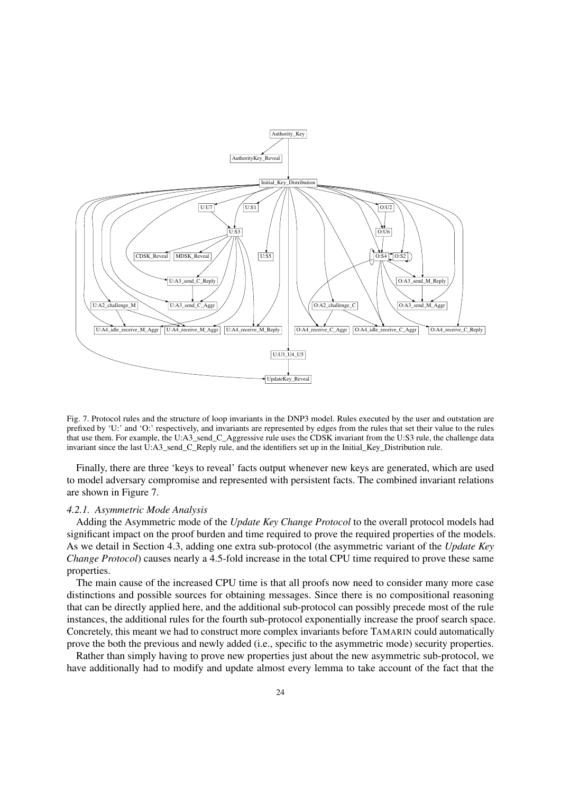

<span id="page-23-0"></span>Fig. 7. Protocol rules and the structure of loop invariants in the DNP3 model. Rules executed by the user and outstation are prefixed by 'U:' and 'O:' respectively, and invariants are represented by edges from the rules that set their value to the rules that use them. For example, the U:A3\_send\_C\_Aggressive rule uses the CDSK invariant from the U:S3 rule, the challenge data invariant since the last U:A3\_send\_C\_Reply rule, and the identifiers set up in the Initial\_Key\_Distribution rule.

Finally, there are three 'keys to reveal' facts output whenever new keys are generated, which are used to model adversary compromise and represented with persistent facts. The combined invariant relations are shown in Figure [7.](#page-23-0)

#### *4.2.1. Asymmetric Mode Analysis*

Adding the Asymmetric mode of the *Update Key Change Protocol* to the overall protocol models had significant impact on the proof burden and time required to prove the required properties of the models. As we detail in Section [4.3,](#page-24-0) adding one extra sub-protocol (the asymmetric variant of the *Update Key Change Protocol*) causes nearly a 4.5-fold increase in the total CPU time required to prove these same properties.

The main cause of the increased CPU time is that all proofs now need to consider many more case distinctions and possible sources for obtaining messages. Since there is no compositional reasoning that can be directly applied here, and the additional sub-protocol can possibly precede most of the rule instances, the additional rules for the fourth sub-protocol exponentially increase the proof search space. Concretely, this meant we had to construct more complex invariants before TAMARIN could automatically prove the both the previous and newly added (i.e., specific to the asymmetric mode) security properties.

Rather than simply having to prove new properties just about the new asymmetric sub-protocol, we have additionally had to modify and update almost every lemma to take account of the fact that the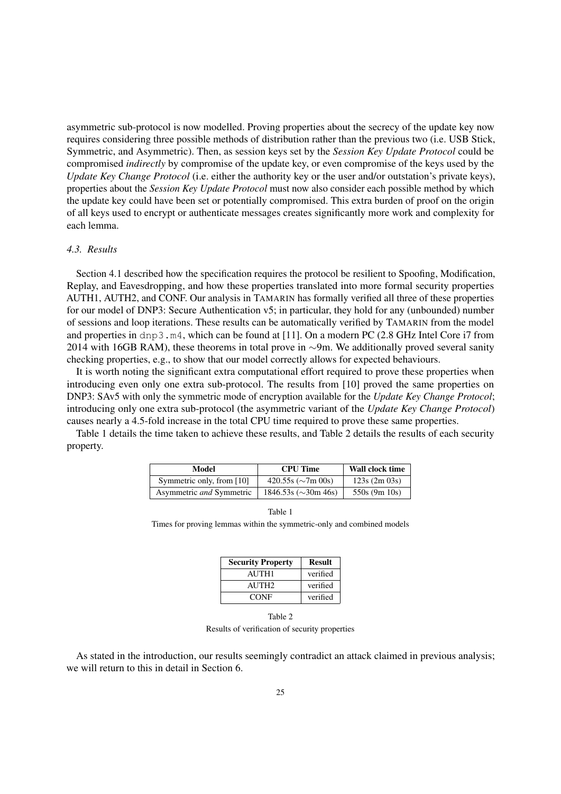asymmetric sub-protocol is now modelled. Proving properties about the secrecy of the update key now requires considering three possible methods of distribution rather than the previous two (i.e. USB Stick, Symmetric, and Asymmetric). Then, as session keys set by the *Session Key Update Protocol* could be compromised *indirectly* by compromise of the update key, or even compromise of the keys used by the *Update Key Change Protocol* (i.e. either the authority key or the user and/or outstation's private keys), properties about the *Session Key Update Protocol* must now also consider each possible method by which the update key could have been set or potentially compromised. This extra burden of proof on the origin of all keys used to encrypt or authenticate messages creates significantly more work and complexity for each lemma.

## <span id="page-24-0"></span>*4.3. Results*

Section [4.1](#page-15-1) described how the specification requires the protocol be resilient to Spoofing, Modification, Replay, and Eavesdropping, and how these properties translated into more formal security properties AUTH1, AUTH2, and CONF. Our analysis in TAMARIN has formally verified all three of these properties for our model of DNP3: Secure Authentication v5; in particular, they hold for any (unbounded) number of sessions and loop iterations. These results can be automatically verified by TAMARIN from the model and properties in dnp3.m4, which can be found at [\[11\]](#page-28-5). On a modern PC (2.8 GHz Intel Core i7 from 2014 with 16GB RAM), these theorems in total prove in  $\sim$ 9m. We additionally proved several sanity checking properties, e.g., to show that our model correctly allows for expected behaviours.

It is worth noting the significant extra computational effort required to prove these properties when introducing even only one extra sub-protocol. The results from [\[10\]](#page-28-4) proved the same properties on DNP3: SAv5 with only the symmetric mode of encryption available for the *Update Key Change Protocol*; introducing only one extra sub-protocol (the asymmetric variant of the *Update Key Change Protocol*) causes nearly a 4.5-fold increase in the total CPU time required to prove these same properties.

Table [1](#page-24-1) details the time taken to achieve these results, and Table [2](#page-24-2) details the results of each security property.

| Model                     | <b>CPU</b> Time              | Wall clock time |
|---------------------------|------------------------------|-----------------|
| Symmetric only, from [10] | 420.55s ( $\sim$ 7m 00s)     | 123s(2m03s)     |
| Asymmetric and Symmetric  | $1846.53s$ ( $\sim$ 30m 46s) | $550s$ (9m 10s) |

<span id="page-24-1"></span>Table 1 Times for proving lemmas within the symmetric-only and combined models

| <b>Security Property</b> | <b>Result</b> |
|--------------------------|---------------|
| AUTH1                    | verified      |
| AUTH <sub>2</sub>        | verified      |
| CONF                     | verified      |

<span id="page-24-2"></span>Table 2 Results of verification of security properties

As stated in the introduction, our results seemingly contradict an attack claimed in previous analysis; we will return to this in detail in Section [6.](#page-26-0)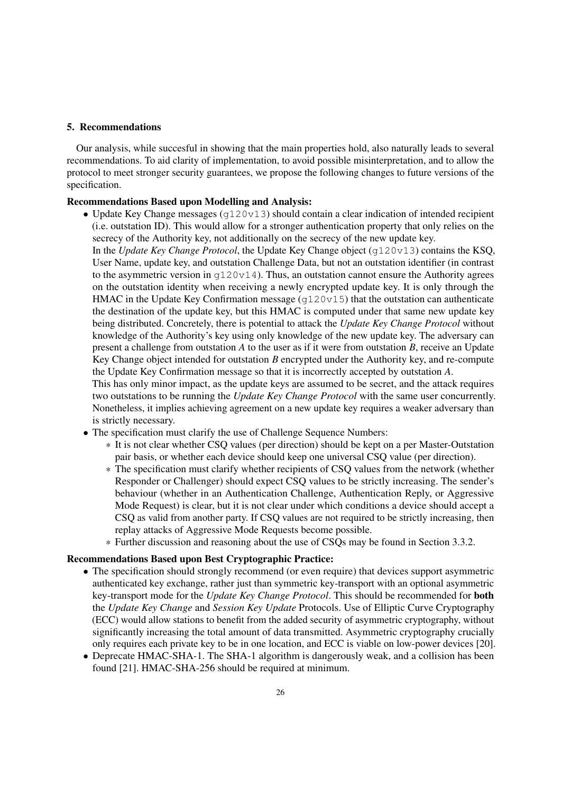#### <span id="page-25-0"></span>5. Recommendations

Our analysis, while succesful in showing that the main properties hold, also naturally leads to several recommendations. To aid clarity of implementation, to avoid possible misinterpretation, and to allow the protocol to meet stronger security guarantees, we propose the following changes to future versions of the specification.

# Recommendations Based upon Modelling and Analysis:

• Update Key Change messages ( $q120v13$ ) should contain a clear indication of intended recipient (i.e. outstation ID). This would allow for a stronger authentication property that only relies on the secrecy of the Authority key, not additionally on the secrecy of the new update key.

In the *Update Key Change Protocol*, the Update Key Change object (g120v13) contains the KSQ, User Name, update key, and outstation Challenge Data, but not an outstation identifier (in contrast to the asymmetric version in  $q120v14$ ). Thus, an outstation cannot ensure the Authority agrees on the outstation identity when receiving a newly encrypted update key. It is only through the HMAC in the Update Key Confirmation message  $(q120v15)$  that the outstation can authenticate the destination of the update key, but this HMAC is computed under that same new update key being distributed. Concretely, there is potential to attack the *Update Key Change Protocol* without knowledge of the Authority's key using only knowledge of the new update key. The adversary can present a challenge from outstation *A* to the user as if it were from outstation *B*, receive an Update Key Change object intended for outstation *B* encrypted under the Authority key, and re-compute the Update Key Confirmation message so that it is incorrectly accepted by outstation *A*.

This has only minor impact, as the update keys are assumed to be secret, and the attack requires two outstations to be running the *Update Key Change Protocol* with the same user concurrently. Nonetheless, it implies achieving agreement on a new update key requires a weaker adversary than is strictly necessary.

- The specification must clarify the use of Challenge Sequence Numbers:
	- \* It is not clear whether CSQ values (per direction) should be kept on a per Master-Outstation pair basis, or whether each device should keep one universal CSQ value (per direction).
	- \* The specification must clarify whether recipients of CSQ values from the network (whether Responder or Challenger) should expect CSQ values to be strictly increasing. The sender's behaviour (whether in an Authentication Challenge, Authentication Reply, or Aggressive Mode Request) is clear, but it is not clear under which conditions a device should accept a CSQ as valid from another party. If CSQ values are not required to be strictly increasing, then replay attacks of Aggressive Mode Requests become possible.
	- \* Further discussion and reasoning about the use of CSQs may be found in Section [3.3.2.](#page-14-0)

## Recommendations Based upon Best Cryptographic Practice:

- The specification should strongly recommend (or even require) that devices support asymmetric authenticated key exchange, rather just than symmetric key-transport with an optional asymmetric key-transport mode for the *Update Key Change Protocol*. This should be recommended for both the *Update Key Change* and *Session Key Update* Protocols. Use of Elliptic Curve Cryptography (ECC) would allow stations to benefit from the added security of asymmetric cryptography, without significantly increasing the total amount of data transmitted. Asymmetric cryptography crucially only requires each private key to be in one location, and ECC is viable on low-power devices [\[20\]](#page-28-14).
- Deprecate HMAC-SHA-1. The SHA-1 algorithm is dangerously weak, and a collision has been found [\[21\]](#page-28-15). HMAC-SHA-256 should be required at minimum.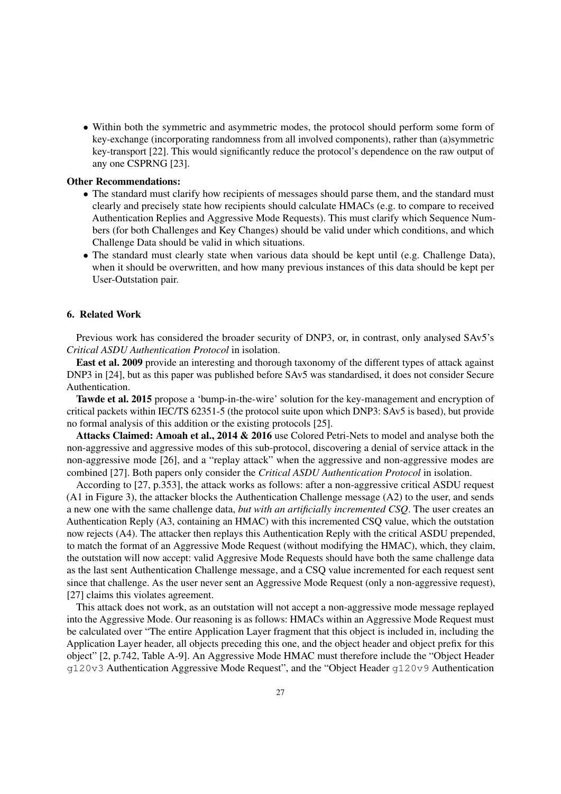• Within both the symmetric and asymmetric modes, the protocol should perform some form of key-exchange (incorporating randomness from all involved components), rather than (a)symmetric key-transport [\[22\]](#page-28-16). This would significantly reduce the protocol's dependence on the raw output of any one CSPRNG [\[23\]](#page-28-17).

## Other Recommendations:

- The standard must clarify how recipients of messages should parse them, and the standard must clearly and precisely state how recipients should calculate HMACs (e.g. to compare to received Authentication Replies and Aggressive Mode Requests). This must clarify which Sequence Numbers (for both Challenges and Key Changes) should be valid under which conditions, and which Challenge Data should be valid in which situations.
- The standard must clearly state when various data should be kept until (e.g. Challenge Data), when it should be overwritten, and how many previous instances of this data should be kept per User-Outstation pair.

# <span id="page-26-0"></span>6. Related Work

Previous work has considered the broader security of DNP3, or, in contrast, only analysed SAv5's *Critical ASDU Authentication Protocol* in isolation.

East et al. 2009 provide an interesting and thorough taxonomy of the different types of attack against DNP3 in [\[24\]](#page-28-18), but as this paper was published before SAv5 was standardised, it does not consider Secure Authentication.

Tawde et al. 2015 propose a 'bump-in-the-wire' solution for the key-management and encryption of critical packets within IEC/TS 62351-5 (the protocol suite upon which DNP3: SAv5 is based), but provide no formal analysis of this addition or the existing protocols [\[25\]](#page-28-19).

Attacks Claimed: Amoah et al., 2014 & 2016 use Colored Petri-Nets to model and analyse both the non-aggressive and aggressive modes of this sub-protocol, discovering a denial of service attack in the non-aggressive mode [\[26\]](#page-28-20), and a "replay attack" when the aggressive and non-aggressive modes are combined [\[27\]](#page-28-21). Both papers only consider the *Critical ASDU Authentication Protocol* in isolation.

According to [\[27,](#page-28-21) p.353], the attack works as follows: after a non-aggressive critical ASDU request (A1 in Figure [3\)](#page-5-1), the attacker blocks the Authentication Challenge message (A2) to the user, and sends a new one with the same challenge data, *but with an artificially incremented CSQ*. The user creates an Authentication Reply (A3, containing an HMAC) with this incremented CSQ value, which the outstation now rejects (A4). The attacker then replays this Authentication Reply with the critical ASDU prepended, to match the format of an Aggressive Mode Request (without modifying the HMAC), which, they claim, the outstation will now accept: valid Aggresive Mode Requests should have both the same challenge data as the last sent Authentication Challenge message, and a CSQ value incremented for each request sent since that challenge. As the user never sent an Aggressive Mode Request (only a non-aggressive request), [\[27\]](#page-28-21) claims this violates agreement.

This attack does not work, as an outstation will not accept a non-aggressive mode message replayed into the Aggressive Mode. Our reasoning is as follows: HMACs within an Aggressive Mode Request must be calculated over "The entire Application Layer fragment that this object is included in, including the Application Layer header, all objects preceding this one, and the object header and object prefix for this object" [\[2,](#page-27-1) p.742, Table A-9]. An Aggressive Mode HMAC must therefore include the "Object Header g120v3 Authentication Aggressive Mode Request", and the "Object Header g120v9 Authentication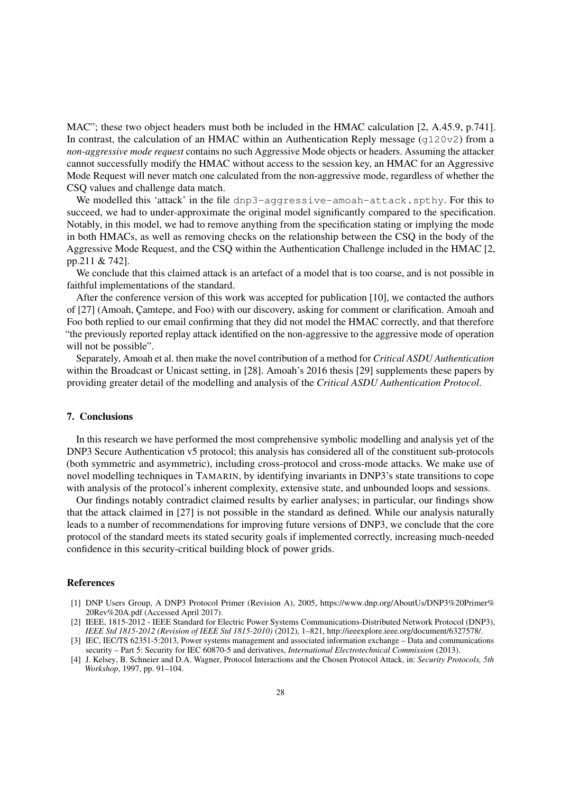MAC"; these two object headers must both be included in the HMAC calculation [\[2,](#page-27-1) A.45.9, p.741]. In contrast, the calculation of an HMAC within an Authentication Reply message ( $q120v2$ ) from a *non-aggressive mode request* contains no such Aggressive Mode objects or headers. Assuming the attacker cannot successfully modify the HMAC without access to the session key, an HMAC for an Aggressive Mode Request will never match one calculated from the non-aggressive mode, regardless of whether the CSQ values and challenge data match.

We modelled this 'attack' in the file dnp3-aggressive-amoah-attack.spthy. For this to succeed, we had to under-approximate the original model significantly compared to the specification. Notably, in this model, we had to remove anything from the specification stating or implying the mode in both HMACs, as well as removing checks on the relationship between the CSQ in the body of the Aggressive Mode Request, and the CSQ within the Authentication Challenge included in the HMAC [\[2,](#page-27-1) pp.211 & 742].

We conclude that this claimed attack is an artefact of a model that is too coarse, and is not possible in faithful implementations of the standard.

After the conference version of this work was accepted for publication [\[10\]](#page-28-4), we contacted the authors of [\[27\]](#page-28-21) (Amoah, Çamtepe, and Foo) with our discovery, asking for comment or clarification. Amoah and Foo both replied to our email confirming that they did not model the HMAC correctly, and that therefore "the previously reported replay attack identified on the non-aggressive to the aggressive mode of operation will not be possible".

Separately, Amoah et al. then make the novel contribution of a method for *Critical ASDU Authentication* within the Broadcast or Unicast setting, in [\[28\]](#page-28-22). Amoah's 2016 thesis [\[29\]](#page-28-23) supplements these papers by providing greater detail of the modelling and analysis of the *Critical ASDU Authentication Protocol*.

#### <span id="page-27-4"></span>7. Conclusions

In this research we have performed the most comprehensive symbolic modelling and analysis yet of the DNP3 Secure Authentication v5 protocol; this analysis has considered all of the constituent sub-protocols (both symmetric and asymmetric), including cross-protocol and cross-mode attacks. We make use of novel modelling techniques in TAMARIN, by identifying invariants in DNP3's state transitions to cope with analysis of the protocol's inherent complexity, extensive state, and unbounded loops and sessions.

Our findings notably contradict claimed results by earlier analyses; in particular, our findings show that the attack claimed in [\[27\]](#page-28-21) is not possible in the standard as defined. While our analysis naturally leads to a number of recommendations for improving future versions of DNP3, we conclude that the core protocol of the standard meets its stated security goals if implemented correctly, increasing much-needed confidence in this security-critical building block of power grids.

#### References

- <span id="page-27-0"></span>[1] DNP Users Group, A DNP3 Protocol Primer (Revision A), 2005, [https://www.dnp.org/AboutUs/DNP3%20Primer%](https://www.dnp.org/AboutUs/DNP3%20Primer%20Rev%20A.pdf) [20Rev%20A.pdf](https://www.dnp.org/AboutUs/DNP3%20Primer%20Rev%20A.pdf) (Accessed April 2017).
- <span id="page-27-1"></span>[2] IEEE, 1815-2012 - IEEE Standard for Electric Power Systems Communications-Distributed Network Protocol (DNP3), *IEEE Std 1815-2012 (Revision of IEEE Std 1815-2010)* (2012), 1–821, [http://ieeexplore.ieee.org/document/6327578/.](http://ieeexplore.ieee.org/document/6327578/)
- <span id="page-27-2"></span>[3] IEC, IEC/TS 62351-5:2013, Power systems management and associated information exchange – Data and communications security – Part 5: Security for IEC 60870-5 and derivatives, *International Electrotechnical Commission* (2013).
- <span id="page-27-3"></span>[4] J. Kelsey, B. Schneier and D.A. Wagner, Protocol Interactions and the Chosen Protocol Attack, in: *Security Protocols, 5th Workshop*, 1997, pp. 91–104.